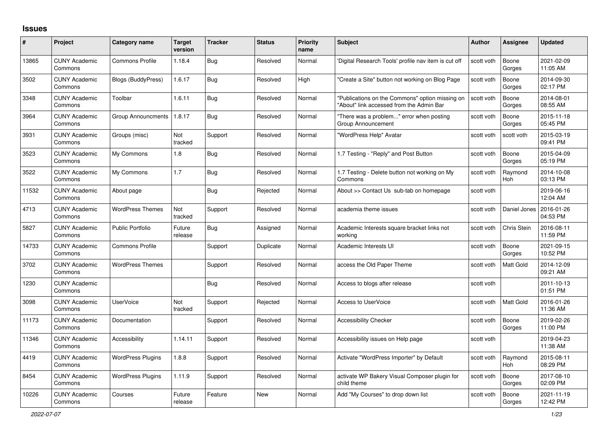## **Issues**

| $\#$  | Project                         | Category name            | <b>Target</b><br>version | <b>Tracker</b> | <b>Status</b> | <b>Priority</b><br>name | <b>Subject</b>                                                                              | <b>Author</b> | <b>Assignee</b>       | <b>Updated</b>         |
|-------|---------------------------------|--------------------------|--------------------------|----------------|---------------|-------------------------|---------------------------------------------------------------------------------------------|---------------|-----------------------|------------------------|
| 13865 | <b>CUNY Academic</b><br>Commons | <b>Commons Profile</b>   | 1.18.4                   | Bug            | Resolved      | Normal                  | 'Digital Research Tools' profile nav item is cut off                                        | scott voth    | Boone<br>Gorges       | 2021-02-09<br>11:05 AM |
| 3502  | <b>CUNY Academic</b><br>Commons | Blogs (BuddyPress)       | 1.6.17                   | Bug            | Resolved      | High                    | "Create a Site" button not working on Blog Page                                             | scott voth    | Boone<br>Gorges       | 2014-09-30<br>02:17 PM |
| 3348  | <b>CUNY Academic</b><br>Commons | Toolbar                  | 1.6.11                   | <b>Bug</b>     | Resolved      | Normal                  | "Publications on the Commons" option missing on<br>"About" link accessed from the Admin Bar | scott voth    | Boone<br>Gorges       | 2014-08-01<br>08:55 AM |
| 3964  | <b>CUNY Academic</b><br>Commons | Group Announcments       | 1.8.17                   | <b>Bug</b>     | Resolved      | Normal                  | "There was a problem" error when posting<br>Group Announcement                              | scott voth    | Boone<br>Gorges       | 2015-11-18<br>05:45 PM |
| 3931  | <b>CUNY Academic</b><br>Commons | Groups (misc)            | Not<br>tracked           | Support        | Resolved      | Normal                  | "WordPress Help" Avatar                                                                     | scott voth    | scott voth            | 2015-03-19<br>09:41 PM |
| 3523  | <b>CUNY Academic</b><br>Commons | My Commons               | 1.8                      | Bug            | Resolved      | Normal                  | 1.7 Testing - "Reply" and Post Button                                                       | scott voth    | Boone<br>Gorges       | 2015-04-09<br>05:19 PM |
| 3522  | <b>CUNY Academic</b><br>Commons | My Commons               | 1.7                      | Bug            | Resolved      | Normal                  | 1.7 Testing - Delete button not working on My<br>Commons                                    | scott voth    | Raymond<br>Hoh        | 2014-10-08<br>03:13 PM |
| 11532 | <b>CUNY Academic</b><br>Commons | About page               |                          | Bug            | Rejected      | Normal                  | About >> Contact Us sub-tab on homepage                                                     | scott voth    |                       | 2019-06-16<br>12:04 AM |
| 4713  | <b>CUNY Academic</b><br>Commons | <b>WordPress Themes</b>  | Not<br>tracked           | Support        | Resolved      | Normal                  | academia theme issues                                                                       | scott voth    | Daniel Jones          | 2016-01-26<br>04:53 PM |
| 5827  | <b>CUNY Academic</b><br>Commons | <b>Public Portfolio</b>  | Future<br>release        | <b>Bug</b>     | Assigned      | Normal                  | Academic Interests square bracket links not<br>working                                      | scott voth    | Chris Stein           | 2016-08-11<br>11:59 PM |
| 14733 | <b>CUNY Academic</b><br>Commons | <b>Commons Profile</b>   |                          | Support        | Duplicate     | Normal                  | Academic Interests UI                                                                       | scott voth    | Boone<br>Gorges       | 2021-09-15<br>10:52 PM |
| 3702  | <b>CUNY Academic</b><br>Commons | <b>WordPress Themes</b>  |                          | Support        | Resolved      | Normal                  | access the Old Paper Theme                                                                  | scott voth    | Matt Gold             | 2014-12-09<br>09:21 AM |
| 1230  | <b>CUNY Academic</b><br>Commons |                          |                          | <b>Bug</b>     | Resolved      | Normal                  | Access to blogs after release                                                               | scott voth    |                       | 2011-10-13<br>01:51 PM |
| 3098  | <b>CUNY Academic</b><br>Commons | <b>UserVoice</b>         | Not<br>tracked           | Support        | Rejected      | Normal                  | <b>Access to UserVoice</b>                                                                  | scott voth    | <b>Matt Gold</b>      | 2016-01-26<br>11:36 AM |
| 11173 | <b>CUNY Academic</b><br>Commons | Documentation            |                          | Support        | Resolved      | Normal                  | <b>Accessibility Checker</b>                                                                | scott voth    | Boone<br>Gorges       | 2019-02-26<br>11:00 PM |
| 11346 | <b>CUNY Academic</b><br>Commons | Accessibility            | 1.14.11                  | Support        | Resolved      | Normal                  | Accessibility issues on Help page                                                           | scott voth    |                       | 2019-04-23<br>11:38 AM |
| 4419  | <b>CUNY Academic</b><br>Commons | <b>WordPress Plugins</b> | 1.8.8                    | Support        | Resolved      | Normal                  | Activate "WordPress Importer" by Default                                                    | scott voth    | Raymond<br><b>Hoh</b> | 2015-08-11<br>08:29 PM |
| 8454  | <b>CUNY Academic</b><br>Commons | <b>WordPress Plugins</b> | 1.11.9                   | Support        | Resolved      | Normal                  | activate WP Bakery Visual Composer plugin for<br>child theme                                | scott voth    | Boone<br>Gorges       | 2017-08-10<br>02:09 PM |
| 10226 | <b>CUNY Academic</b><br>Commons | Courses                  | Future<br>release        | Feature        | <b>New</b>    | Normal                  | Add "My Courses" to drop down list                                                          | scott voth    | Boone<br>Gorges       | 2021-11-19<br>12:42 PM |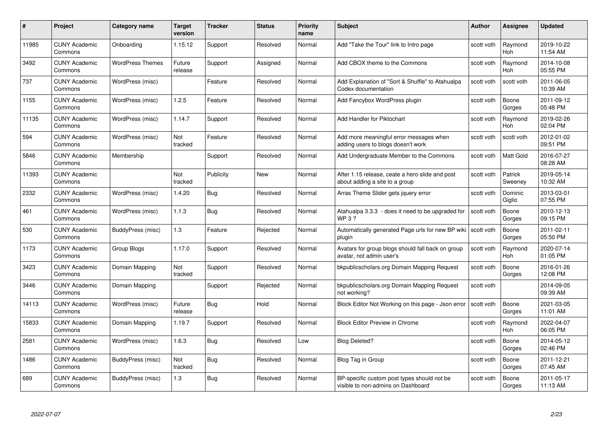| #     | Project                         | <b>Category name</b>    | Target<br>version | <b>Tracker</b> | <b>Status</b> | <b>Priority</b><br>name | <b>Subject</b>                                                                    | <b>Author</b> | Assignee              | <b>Updated</b>         |
|-------|---------------------------------|-------------------------|-------------------|----------------|---------------|-------------------------|-----------------------------------------------------------------------------------|---------------|-----------------------|------------------------|
| 11985 | <b>CUNY Academic</b><br>Commons | Onboarding              | 1.15.12           | Support        | Resolved      | Normal                  | Add "Take the Tour" link to Intro page                                            | scott voth    | Raymond<br><b>Hoh</b> | 2019-10-22<br>11:54 AM |
| 3492  | <b>CUNY Academic</b><br>Commons | <b>WordPress Themes</b> | Future<br>release | Support        | Assigned      | Normal                  | Add CBOX theme to the Commons                                                     | scott voth    | Raymond<br><b>Hoh</b> | 2014-10-08<br>05:55 PM |
| 737   | <b>CUNY Academic</b><br>Commons | WordPress (misc)        |                   | Feature        | Resolved      | Normal                  | Add Explanation of "Sort & Shuffle" to Atahualpa<br>Codex documentation           | scott voth    | scott voth            | 2011-06-05<br>10:39 AM |
| 1155  | <b>CUNY Academic</b><br>Commons | WordPress (misc)        | 1.2.5             | Feature        | Resolved      | Normal                  | Add Fancybox WordPress plugin                                                     | scott voth    | Boone<br>Gorges       | 2011-09-12<br>05:48 PM |
| 11135 | <b>CUNY Academic</b><br>Commons | WordPress (misc)        | 1.14.7            | Support        | Resolved      | Normal                  | Add Handler for Piktochart                                                        | scott voth    | Raymond<br>Hoh        | 2019-02-26<br>02:04 PM |
| 594   | <b>CUNY Academic</b><br>Commons | WordPress (misc)        | Not<br>tracked    | Feature        | Resolved      | Normal                  | Add more meaningful error messages when<br>adding users to blogs doesn't work     | scott voth    | scott voth            | 2012-01-02<br>09:51 PM |
| 5846  | <b>CUNY Academic</b><br>Commons | Membership              |                   | Support        | Resolved      | Normal                  | Add Undergraduate Member to the Commons                                           | scott voth    | Matt Gold             | 2016-07-27<br>08:28 AM |
| 11393 | <b>CUNY Academic</b><br>Commons |                         | Not<br>tracked    | Publicity      | <b>New</b>    | Normal                  | After 1.15 release, ceate a hero slide and post<br>about adding a site to a group | scott voth    | Patrick<br>Sweeney    | 2019-05-14<br>10:32 AM |
| 2332  | <b>CUNY Academic</b><br>Commons | WordPress (misc)        | 1.4.20            | Bug            | Resolved      | Normal                  | Arras Theme Slider gets jquery error                                              | scott voth    | Dominic<br>Giglio     | 2013-03-01<br>07:55 PM |
| 461   | <b>CUNY Academic</b><br>Commons | WordPress (misc)        | 1.1.3             | <b>Bug</b>     | Resolved      | Normal                  | Atahualpa 3.3.3 - does it need to be upgraded for<br><b>WP3?</b>                  | scott voth    | Boone<br>Gorges       | 2010-12-13<br>09:15 PM |
| 530   | <b>CUNY Academic</b><br>Commons | BuddyPress (misc)       | 1.3               | Feature        | Rejected      | Normal                  | Automatically generated Page urls for new BP wiki<br>plugin                       | scott voth    | Boone<br>Gorges       | 2011-02-11<br>05:50 PM |
| 1173  | <b>CUNY Academic</b><br>Commons | Group Blogs             | 1.17.0            | Support        | Resolved      | Normal                  | Avatars for group blogs should fall back on group<br>avatar, not admin user's     | scott voth    | Raymond<br><b>Hoh</b> | 2020-07-14<br>01:05 PM |
| 3423  | <b>CUNY Academic</b><br>Commons | Domain Mapping          | Not<br>tracked    | Support        | Resolved      | Normal                  | bkpublicscholars.org Domain Mapping Request                                       | scott voth    | Boone<br>Gorges       | 2016-01-26<br>12:08 PM |
| 3446  | <b>CUNY Academic</b><br>Commons | Domain Mapping          |                   | Support        | Rejected      | Normal                  | bkpublicscholars.org Domain Mapping Request<br>not working?                       | scott voth    |                       | 2014-09-05<br>09:39 AM |
| 14113 | <b>CUNY Academic</b><br>Commons | WordPress (misc)        | Future<br>release | <b>Bug</b>     | Hold          | Normal                  | Block Editor Not Working on this page - Json error                                | scott voth    | Boone<br>Gorges       | 2021-03-05<br>11:01 AM |
| 15833 | <b>CUNY Academic</b><br>Commons | Domain Mapping          | 1.19.7            | Support        | Resolved      | Normal                  | <b>Block Editor Preview in Chrome</b>                                             | scott voth    | Raymond<br><b>Hoh</b> | 2022-04-07<br>06:05 PM |
| 2581  | <b>CUNY Academic</b><br>Commons | WordPress (misc)        | 1.6.3             | <b>Bug</b>     | Resolved      | Low                     | <b>Blog Deleted?</b>                                                              | scott voth    | Boone<br>Gorges       | 2014-05-12<br>02:46 PM |
| 1486  | <b>CUNY Academic</b><br>Commons | BuddyPress (misc)       | Not<br>tracked    | <b>Bug</b>     | Resolved      | Normal                  | Blog Tag in Group                                                                 | scott voth    | Boone<br>Gorges       | 2011-12-21<br>07:45 AM |
| 689   | <b>CUNY Academic</b><br>Commons | BuddyPress (misc)       | 1.3               | <b>Bug</b>     | Resolved      | Normal                  | BP-specific custom post types should not be<br>visible to non-admins on Dashboard | scott voth    | Boone<br>Gorges       | 2011-05-17<br>11:13 AM |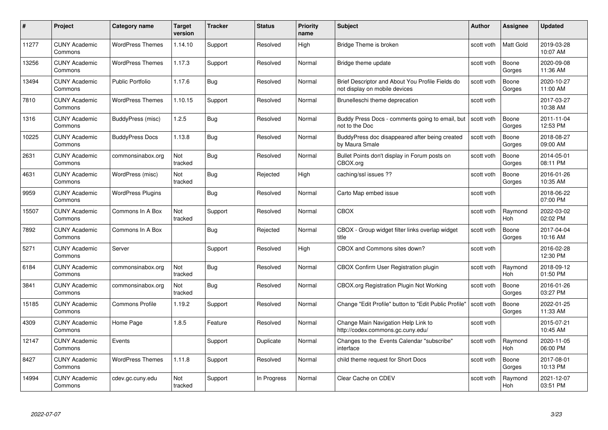| #     | Project                         | Category name            | Target<br>version | <b>Tracker</b> | <b>Status</b> | <b>Priority</b><br>name | <b>Subject</b>                                                                    | Author     | Assignee              | <b>Updated</b>         |
|-------|---------------------------------|--------------------------|-------------------|----------------|---------------|-------------------------|-----------------------------------------------------------------------------------|------------|-----------------------|------------------------|
| 11277 | <b>CUNY Academic</b><br>Commons | <b>WordPress Themes</b>  | 1.14.10           | Support        | Resolved      | High                    | Bridge Theme is broken                                                            | scott voth | <b>Matt Gold</b>      | 2019-03-28<br>10:07 AM |
| 13256 | <b>CUNY Academic</b><br>Commons | <b>WordPress Themes</b>  | 1.17.3            | Support        | Resolved      | Normal                  | Bridge theme update                                                               | scott voth | Boone<br>Gorges       | 2020-09-08<br>11:36 AM |
| 13494 | <b>CUNY Academic</b><br>Commons | <b>Public Portfolio</b>  | 1.17.6            | <b>Bug</b>     | Resolved      | Normal                  | Brief Descriptor and About You Profile Fields do<br>not display on mobile devices | scott voth | Boone<br>Gorges       | 2020-10-27<br>11:00 AM |
| 7810  | <b>CUNY Academic</b><br>Commons | <b>WordPress Themes</b>  | 1.10.15           | Support        | Resolved      | Normal                  | Brunelleschi theme deprecation                                                    | scott voth |                       | 2017-03-27<br>10:38 AM |
| 1316  | <b>CUNY Academic</b><br>Commons | BuddyPress (misc)        | 1.2.5             | <b>Bug</b>     | Resolved      | Normal                  | Buddy Press Docs - comments going to email, but<br>not to the Doc                 | scott voth | Boone<br>Gorges       | 2011-11-04<br>12:53 PM |
| 10225 | <b>CUNY Academic</b><br>Commons | <b>BuddyPress Docs</b>   | 1.13.8            | Bug            | Resolved      | Normal                  | BuddyPress doc disappeared after being created<br>by Maura Smale                  | scott voth | Boone<br>Gorges       | 2018-08-27<br>09:00 AM |
| 2631  | <b>CUNY Academic</b><br>Commons | commonsinabox.org        | Not<br>tracked    | Bug            | Resolved      | Normal                  | Bullet Points don't display in Forum posts on<br>CBOX.org                         | scott voth | Boone<br>Gorges       | 2014-05-01<br>08:11 PM |
| 4631  | <b>CUNY Academic</b><br>Commons | WordPress (misc)         | Not<br>tracked    | Bug            | Rejected      | High                    | caching/ssl issues ??                                                             | scott voth | Boone<br>Gorges       | 2016-01-26<br>10:35 AM |
| 9959  | <b>CUNY Academic</b><br>Commons | <b>WordPress Plugins</b> |                   | Bug            | Resolved      | Normal                  | Carto Map embed issue                                                             | scott voth |                       | 2018-06-22<br>07:00 PM |
| 15507 | <b>CUNY Academic</b><br>Commons | Commons In A Box         | Not<br>tracked    | Support        | Resolved      | Normal                  | <b>CBOX</b>                                                                       | scott voth | Raymond<br><b>Hoh</b> | 2022-03-02<br>02:02 PM |
| 7892  | <b>CUNY Academic</b><br>Commons | Commons In A Box         |                   | Bug            | Rejected      | Normal                  | CBOX - Group widget filter links overlap widget<br>title                          | scott voth | Boone<br>Gorges       | 2017-04-04<br>10:16 AM |
| 5271  | <b>CUNY Academic</b><br>Commons | Server                   |                   | Support        | Resolved      | High                    | CBOX and Commons sites down?                                                      | scott voth |                       | 2016-02-28<br>12:30 PM |
| 6184  | <b>CUNY Academic</b><br>Commons | commonsinabox.org        | Not<br>tracked    | Bug            | Resolved      | Normal                  | <b>CBOX Confirm User Registration plugin</b>                                      | scott voth | Raymond<br>Hoh        | 2018-09-12<br>01:50 PM |
| 3841  | <b>CUNY Academic</b><br>Commons | commonsinabox.org        | Not<br>tracked    | <b>Bug</b>     | Resolved      | Normal                  | CBOX.org Registration Plugin Not Working                                          | scott voth | Boone<br>Gorges       | 2016-01-26<br>03:27 PM |
| 15185 | <b>CUNY Academic</b><br>Commons | <b>Commons Profile</b>   | 1.19.2            | Support        | Resolved      | Normal                  | Change "Edit Profile" button to "Edit Public Profile"                             | scott voth | Boone<br>Gorges       | 2022-01-25<br>11:33 AM |
| 4309  | <b>CUNY Academic</b><br>Commons | Home Page                | 1.8.5             | Feature        | Resolved      | Normal                  | Change Main Navigation Help Link to<br>http://codex.commons.gc.cuny.edu/          | scott voth |                       | 2015-07-21<br>10:45 AM |
| 12147 | <b>CUNY Academic</b><br>Commons | Events                   |                   | Support        | Duplicate     | Normal                  | Changes to the Events Calendar "subscribe"<br>interface                           | scott voth | Raymond<br><b>Hoh</b> | 2020-11-05<br>06:00 PM |
| 8427  | <b>CUNY Academic</b><br>Commons | <b>WordPress Themes</b>  | 1.11.8            | Support        | Resolved      | Normal                  | child theme request for Short Docs                                                | scott voth | Boone<br>Gorges       | 2017-08-01<br>10:13 PM |
| 14994 | <b>CUNY Academic</b><br>Commons | cdev.gc.cuny.edu         | Not<br>tracked    | Support        | In Progress   | Normal                  | Clear Cache on CDEV                                                               | scott voth | Raymond<br>Hoh        | 2021-12-07<br>03:51 PM |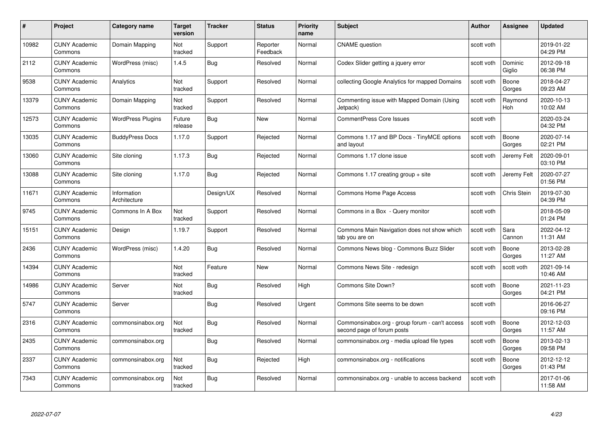| #     | Project                         | <b>Category name</b>        | Target<br>version | <b>Tracker</b> | <b>Status</b>        | <b>Priority</b><br>name | <b>Subject</b>                                                               | <b>Author</b> | Assignee              | <b>Updated</b>         |
|-------|---------------------------------|-----------------------------|-------------------|----------------|----------------------|-------------------------|------------------------------------------------------------------------------|---------------|-----------------------|------------------------|
| 10982 | <b>CUNY Academic</b><br>Commons | Domain Mapping              | Not<br>tracked    | Support        | Reporter<br>Feedback | Normal                  | <b>CNAME</b> question                                                        | scott voth    |                       | 2019-01-22<br>04:29 PM |
| 2112  | <b>CUNY Academic</b><br>Commons | WordPress (misc)            | 1.4.5             | Bug            | Resolved             | Normal                  | Codex Slider getting a jquery error                                          | scott voth    | Dominic<br>Giglio     | 2012-09-18<br>06:38 PM |
| 9538  | <b>CUNY Academic</b><br>Commons | Analytics                   | Not<br>tracked    | Support        | Resolved             | Normal                  | collecting Google Analytics for mapped Domains                               | scott voth    | Boone<br>Gorges       | 2018-04-27<br>09:23 AM |
| 13379 | <b>CUNY Academic</b><br>Commons | Domain Mapping              | Not<br>tracked    | Support        | Resolved             | Normal                  | Commenting issue with Mapped Domain (Using<br>Jetpack)                       | scott voth    | Raymond<br><b>Hoh</b> | 2020-10-13<br>10:02 AM |
| 12573 | <b>CUNY Academic</b><br>Commons | <b>WordPress Plugins</b>    | Future<br>release | <b>Bug</b>     | <b>New</b>           | Normal                  | <b>CommentPress Core Issues</b>                                              | scott voth    |                       | 2020-03-24<br>04:32 PM |
| 13035 | <b>CUNY Academic</b><br>Commons | <b>BuddyPress Docs</b>      | 1.17.0            | Support        | Rejected             | Normal                  | Commons 1.17 and BP Docs - TinyMCE options<br>and layout                     | scott voth    | Boone<br>Gorges       | 2020-07-14<br>02:21 PM |
| 13060 | <b>CUNY Academic</b><br>Commons | Site cloning                | 1.17.3            | Bug            | Rejected             | Normal                  | Commons 1.17 clone issue                                                     | scott voth    | Jeremy Felt           | 2020-09-01<br>03:10 PM |
| 13088 | <b>CUNY Academic</b><br>Commons | Site cloning                | 1.17.0            | Bug            | Rejected             | Normal                  | Commons 1.17 creating group + site                                           | scott voth    | Jeremy Felt           | 2020-07-27<br>01:56 PM |
| 11671 | <b>CUNY Academic</b><br>Commons | Information<br>Architecture |                   | Design/UX      | Resolved             | Normal                  | Commons Home Page Access                                                     | scott voth    | Chris Stein           | 2019-07-30<br>04:39 PM |
| 9745  | <b>CUNY Academic</b><br>Commons | Commons In A Box            | Not<br>tracked    | Support        | Resolved             | Normal                  | Commons in a Box - Query monitor                                             | scott voth    |                       | 2018-05-09<br>01:24 PM |
| 15151 | <b>CUNY Academic</b><br>Commons | Design                      | 1.19.7            | Support        | Resolved             | Normal                  | Commons Main Navigation does not show which<br>tab you are on                | scott voth    | Sara<br>Cannon        | 2022-04-12<br>11:31 AM |
| 2436  | <b>CUNY Academic</b><br>Commons | WordPress (misc)            | 1.4.20            | Bug            | Resolved             | Normal                  | Commons News blog - Commons Buzz Slider                                      | scott voth    | Boone<br>Gorges       | 2013-02-28<br>11:27 AM |
| 14394 | <b>CUNY Academic</b><br>Commons |                             | Not<br>tracked    | Feature        | New                  | Normal                  | Commons News Site - redesign                                                 | scott voth    | scott voth            | 2021-09-14<br>10:46 AM |
| 14986 | <b>CUNY Academic</b><br>Commons | Server                      | Not<br>tracked    | <b>Bug</b>     | Resolved             | High                    | Commons Site Down?                                                           | scott voth    | Boone<br>Gorges       | 2021-11-23<br>04:21 PM |
| 5747  | <b>CUNY Academic</b><br>Commons | Server                      |                   | Bug            | Resolved             | Urgent                  | Commons Site seems to be down                                                | scott voth    |                       | 2016-06-27<br>09:16 PM |
| 2316  | <b>CUNY Academic</b><br>Commons | commonsinabox.org           | Not<br>tracked    | Bug            | Resolved             | Normal                  | Commonsinabox.org - group forum - can't access<br>second page of forum posts | scott voth    | Boone<br>Gorges       | 2012-12-03<br>11:57 AM |
| 2435  | <b>CUNY Academic</b><br>Commons | commonsinabox.org           |                   | Bug            | Resolved             | Normal                  | commonsinabox.org - media upload file types                                  | scott voth    | Boone<br>Gorges       | 2013-02-13<br>09:58 PM |
| 2337  | <b>CUNY Academic</b><br>Commons | commonsinabox.org           | Not<br>tracked    | Bug            | Rejected             | High                    | commonsinabox.org - notifications                                            | scott voth    | Boone<br>Gorges       | 2012-12-12<br>01:43 PM |
| 7343  | CUNY Academic<br>Commons        | commonsinabox.org           | Not<br>tracked    | <b>Bug</b>     | Resolved             | Normal                  | commonsinabox.org - unable to access backend                                 | scott voth    |                       | 2017-01-06<br>11:58 AM |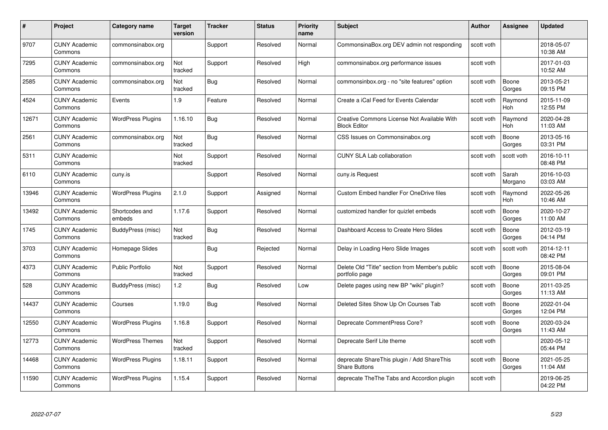| #     | Project                         | <b>Category name</b>     | Target<br>version | <b>Tracker</b> | <b>Status</b> | <b>Priority</b><br>name | <b>Subject</b>                                                     | <b>Author</b> | <b>Assignee</b>       | <b>Updated</b>         |
|-------|---------------------------------|--------------------------|-------------------|----------------|---------------|-------------------------|--------------------------------------------------------------------|---------------|-----------------------|------------------------|
| 9707  | <b>CUNY Academic</b><br>Commons | commonsinabox.org        |                   | Support        | Resolved      | Normal                  | CommonsinaBox.org DEV admin not responding                         | scott voth    |                       | 2018-05-07<br>10:38 AM |
| 7295  | <b>CUNY Academic</b><br>Commons | commonsinabox.org        | Not<br>tracked    | Support        | Resolved      | High                    | commonsinabox.org performance issues                               | scott voth    |                       | 2017-01-03<br>10:52 AM |
| 2585  | <b>CUNY Academic</b><br>Commons | commonsinabox.org        | Not<br>tracked    | <b>Bug</b>     | Resolved      | Normal                  | commonsinbox.org - no "site features" option                       | scott voth    | Boone<br>Gorges       | 2013-05-21<br>09:15 PM |
| 4524  | <b>CUNY Academic</b><br>Commons | Events                   | 1.9               | Feature        | Resolved      | Normal                  | Create a iCal Feed for Events Calendar                             | scott voth    | Raymond<br><b>Hoh</b> | 2015-11-09<br>12:55 PM |
| 12671 | <b>CUNY Academic</b><br>Commons | <b>WordPress Plugins</b> | 1.16.10           | <b>Bug</b>     | Resolved      | Normal                  | Creative Commons License Not Available With<br><b>Block Editor</b> | scott voth    | Raymond<br>Hoh        | 2020-04-28<br>11:03 AM |
| 2561  | <b>CUNY Academic</b><br>Commons | commonsinabox.org        | Not<br>tracked    | Bug            | Resolved      | Normal                  | CSS Issues on Commonsinabox.org                                    | scott voth    | Boone<br>Gorges       | 2013-05-16<br>03:31 PM |
| 5311  | <b>CUNY Academic</b><br>Commons |                          | Not<br>tracked    | Support        | Resolved      | Normal                  | <b>CUNY SLA Lab collaboration</b>                                  | scott voth    | scott voth            | 2016-10-11<br>08:48 PM |
| 6110  | <b>CUNY Academic</b><br>Commons | cuny.is                  |                   | Support        | Resolved      | Normal                  | cuny.is Request                                                    | scott voth    | Sarah<br>Morgano      | 2016-10-03<br>03:03 AM |
| 13946 | <b>CUNY Academic</b><br>Commons | <b>WordPress Plugins</b> | 2.1.0             | Support        | Assigned      | Normal                  | <b>Custom Embed handler For OneDrive files</b>                     | scott voth    | Raymond<br>Hoh        | 2022-05-26<br>10:46 AM |
| 13492 | <b>CUNY Academic</b><br>Commons | Shortcodes and<br>embeds | 1.17.6            | Support        | Resolved      | Normal                  | customized handler for quizlet embeds                              | scott voth    | Boone<br>Gorges       | 2020-10-27<br>11:00 AM |
| 1745  | CUNY Academic<br>Commons        | BuddyPress (misc)        | Not<br>tracked    | Bug            | Resolved      | Normal                  | Dashboard Access to Create Hero Slides                             | scott voth    | Boone<br>Gorges       | 2012-03-19<br>04:14 PM |
| 3703  | <b>CUNY Academic</b><br>Commons | Homepage Slides          |                   | <b>Bug</b>     | Rejected      | Normal                  | Delay in Loading Hero Slide Images                                 | scott voth    | scott voth            | 2014-12-11<br>08:42 PM |
| 4373  | <b>CUNY Academic</b><br>Commons | <b>Public Portfolio</b>  | Not<br>tracked    | Support        | Resolved      | Normal                  | Delete Old "Title" section from Member's public<br>portfolio page  | scott voth    | Boone<br>Gorges       | 2015-08-04<br>09:01 PM |
| 528   | <b>CUNY Academic</b><br>Commons | BuddyPress (misc)        | 1.2               | Bug            | Resolved      | Low                     | Delete pages using new BP "wiki" plugin?                           | scott voth    | Boone<br>Gorges       | 2011-03-25<br>11:13 AM |
| 14437 | <b>CUNY Academic</b><br>Commons | Courses                  | 1.19.0            | Bug            | Resolved      | Normal                  | Deleted Sites Show Up On Courses Tab                               | scott voth    | Boone<br>Gorges       | 2022-01-04<br>12:04 PM |
| 12550 | <b>CUNY Academic</b><br>Commons | <b>WordPress Plugins</b> | 1.16.8            | Support        | Resolved      | Normal                  | Deprecate CommentPress Core?                                       | scott voth    | Boone<br>Gorges       | 2020-03-24<br>11:43 AM |
| 12773 | <b>CUNY Academic</b><br>Commons | <b>WordPress Themes</b>  | Not<br>tracked    | Support        | Resolved      | Normal                  | Deprecate Serif Lite theme                                         | scott voth    |                       | 2020-05-12<br>05:44 PM |
| 14468 | <b>CUNY Academic</b><br>Commons | <b>WordPress Plugins</b> | 1.18.11           | Support        | Resolved      | Normal                  | deprecate ShareThis plugin / Add ShareThis<br><b>Share Buttons</b> | scott voth    | Boone<br>Gorges       | 2021-05-25<br>11:04 AM |
| 11590 | <b>CUNY Academic</b><br>Commons | <b>WordPress Plugins</b> | 1.15.4            | Support        | Resolved      | Normal                  | deprecate The The Tabs and Accordion plugin                        | scott voth    |                       | 2019-06-25<br>04:22 PM |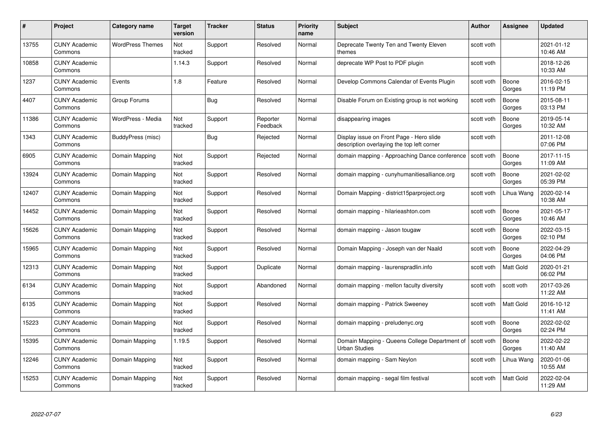| #     | Project                         | <b>Category name</b>    | Target<br>version | <b>Tracker</b> | <b>Status</b>        | <b>Priority</b><br>name | <b>Subject</b>                                                                         | <b>Author</b> | <b>Assignee</b>  | <b>Updated</b>         |
|-------|---------------------------------|-------------------------|-------------------|----------------|----------------------|-------------------------|----------------------------------------------------------------------------------------|---------------|------------------|------------------------|
| 13755 | <b>CUNY Academic</b><br>Commons | <b>WordPress Themes</b> | Not<br>tracked    | Support        | Resolved             | Normal                  | Deprecate Twenty Ten and Twenty Eleven<br>themes                                       | scott voth    |                  | 2021-01-12<br>10:46 AM |
| 10858 | <b>CUNY Academic</b><br>Commons |                         | 1.14.3            | Support        | Resolved             | Normal                  | deprecate WP Post to PDF plugin                                                        | scott voth    |                  | 2018-12-26<br>10:33 AM |
| 1237  | <b>CUNY Academic</b><br>Commons | Events                  | 1.8               | Feature        | Resolved             | Normal                  | Develop Commons Calendar of Events Plugin                                              | scott voth    | Boone<br>Gorges  | 2016-02-15<br>11:19 PM |
| 4407  | <b>CUNY Academic</b><br>Commons | Group Forums            |                   | Bug            | Resolved             | Normal                  | Disable Forum on Existing group is not working                                         | scott voth    | Boone<br>Gorges  | 2015-08-11<br>03:13 PM |
| 11386 | <b>CUNY Academic</b><br>Commons | WordPress - Media       | Not<br>tracked    | Support        | Reporter<br>Feedback | Normal                  | disappearing images                                                                    | scott voth    | Boone<br>Gorges  | 2019-05-14<br>10:32 AM |
| 1343  | <b>CUNY Academic</b><br>Commons | BuddyPress (misc)       |                   | Bug            | Rejected             | Normal                  | Display issue on Front Page - Hero slide<br>description overlaying the top left corner | scott voth    |                  | 2011-12-08<br>07:06 PM |
| 6905  | <b>CUNY Academic</b><br>Commons | Domain Mapping          | Not<br>tracked    | Support        | Rejected             | Normal                  | domain mapping - Approaching Dance conference                                          | scott voth    | Boone<br>Gorges  | 2017-11-15<br>11:09 AM |
| 13924 | <b>CUNY Academic</b><br>Commons | Domain Mapping          | Not<br>tracked    | Support        | Resolved             | Normal                  | domain mapping - cunyhumanitiesalliance.org                                            | scott voth    | Boone<br>Gorges  | 2021-02-02<br>05:39 PM |
| 12407 | <b>CUNY Academic</b><br>Commons | Domain Mapping          | Not<br>tracked    | Support        | Resolved             | Normal                  | Domain Mapping - district15parproject.org                                              | scott voth    | Lihua Wang       | 2020-02-14<br>10:38 AM |
| 14452 | <b>CUNY Academic</b><br>Commons | Domain Mapping          | Not<br>tracked    | Support        | Resolved             | Normal                  | domain mapping - hilarieashton.com                                                     | scott voth    | Boone<br>Gorges  | 2021-05-17<br>10:46 AM |
| 15626 | CUNY Academic<br>Commons        | Domain Mapping          | Not<br>tracked    | Support        | Resolved             | Normal                  | domain mapping - Jason tougaw                                                          | scott voth    | Boone<br>Gorges  | 2022-03-15<br>02:10 PM |
| 15965 | <b>CUNY Academic</b><br>Commons | Domain Mapping          | Not<br>tracked    | Support        | Resolved             | Normal                  | Domain Mapping - Joseph van der Naald                                                  | scott voth    | Boone<br>Gorges  | 2022-04-29<br>04:06 PM |
| 12313 | <b>CUNY Academic</b><br>Commons | Domain Mapping          | Not<br>tracked    | Support        | Duplicate            | Normal                  | domain mapping - laurenspradlin.info                                                   | scott voth    | Matt Gold        | 2020-01-21<br>06:02 PM |
| 6134  | <b>CUNY Academic</b><br>Commons | Domain Mapping          | Not<br>tracked    | Support        | Abandoned            | Normal                  | domain mapping - mellon faculty diversity                                              | scott voth    | scott voth       | 2017-03-26<br>11:22 AM |
| 6135  | <b>CUNY Academic</b><br>Commons | Domain Mapping          | Not<br>tracked    | Support        | Resolved             | Normal                  | domain mapping - Patrick Sweeney                                                       | scott voth    | Matt Gold        | 2016-10-12<br>11:41 AM |
| 15223 | <b>CUNY Academic</b><br>Commons | Domain Mapping          | Not<br>tracked    | Support        | Resolved             | Normal                  | domain mapping - preludenyc.org                                                        | scott voth    | Boone<br>Gorges  | 2022-02-02<br>02:24 PM |
| 15395 | <b>CUNY Academic</b><br>Commons | Domain Mapping          | 1.19.5            | Support        | Resolved             | Normal                  | Domain Mapping - Queens College Department of<br><b>Urban Studies</b>                  | scott voth    | Boone<br>Gorges  | 2022-02-22<br>11:40 AM |
| 12246 | <b>CUNY Academic</b><br>Commons | Domain Mapping          | Not<br>tracked    | Support        | Resolved             | Normal                  | domain mapping - Sam Neylon                                                            | scott voth    | Lihua Wang       | 2020-01-06<br>10:55 AM |
| 15253 | CUNY Academic<br>Commons        | Domain Mapping          | Not<br>tracked    | Support        | Resolved             | Normal                  | domain mapping - segal film festival                                                   | scott voth    | <b>Matt Gold</b> | 2022-02-04<br>11:29 AM |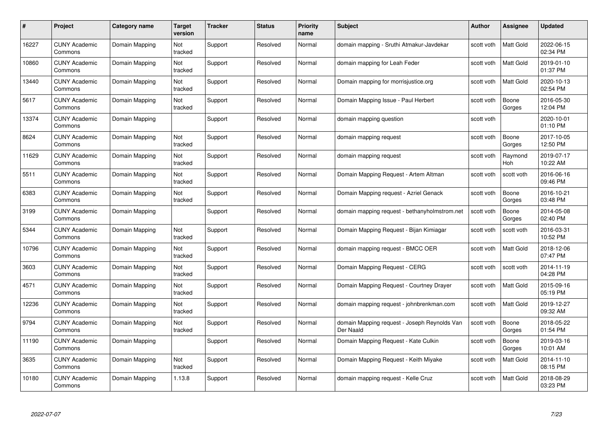| #     | Project                         | Category name  | Target<br>version | <b>Tracker</b> | <b>Status</b> | <b>Priority</b><br>name | <b>Subject</b>                                            | <b>Author</b> | <b>Assignee</b>  | <b>Updated</b>         |
|-------|---------------------------------|----------------|-------------------|----------------|---------------|-------------------------|-----------------------------------------------------------|---------------|------------------|------------------------|
| 16227 | <b>CUNY Academic</b><br>Commons | Domain Mapping | Not<br>tracked    | Support        | Resolved      | Normal                  | domain mapping - Sruthi Atmakur-Javdekar                  | scott voth    | <b>Matt Gold</b> | 2022-06-15<br>02:34 PM |
| 10860 | <b>CUNY Academic</b><br>Commons | Domain Mapping | Not<br>tracked    | Support        | Resolved      | Normal                  | domain mapping for Leah Feder                             | scott voth    | Matt Gold        | 2019-01-10<br>01:37 PM |
| 13440 | <b>CUNY Academic</b><br>Commons | Domain Mapping | Not<br>tracked    | Support        | Resolved      | Normal                  | Domain mapping for morrisjustice.org                      | scott voth    | Matt Gold        | 2020-10-13<br>02:54 PM |
| 5617  | <b>CUNY Academic</b><br>Commons | Domain Mapping | Not<br>tracked    | Support        | Resolved      | Normal                  | Domain Mapping Issue - Paul Herbert                       | scott voth    | Boone<br>Gorges  | 2016-05-30<br>12:04 PM |
| 13374 | <b>CUNY Academic</b><br>Commons | Domain Mapping |                   | Support        | Resolved      | Normal                  | domain mapping question                                   | scott voth    |                  | 2020-10-01<br>01:10 PM |
| 8624  | <b>CUNY Academic</b><br>Commons | Domain Mapping | Not<br>tracked    | Support        | Resolved      | Normal                  | domain mapping request                                    | scott voth    | Boone<br>Gorges  | 2017-10-05<br>12:50 PM |
| 11629 | <b>CUNY Academic</b><br>Commons | Domain Mapping | Not<br>tracked    | Support        | Resolved      | Normal                  | domain mapping request                                    | scott voth    | Raymond<br>Hoh   | 2019-07-17<br>10:22 AM |
| 5511  | <b>CUNY Academic</b><br>Commons | Domain Mapping | Not<br>tracked    | Support        | Resolved      | Normal                  | Domain Mapping Request - Artem Altman                     | scott voth    | scott voth       | 2016-06-16<br>09:46 PM |
| 6383  | <b>CUNY Academic</b><br>Commons | Domain Mapping | Not<br>tracked    | Support        | Resolved      | Normal                  | Domain Mapping request - Azriel Genack                    | scott voth    | Boone<br>Gorges  | 2016-10-21<br>03:48 PM |
| 3199  | <b>CUNY Academic</b><br>Commons | Domain Mapping |                   | Support        | Resolved      | Normal                  | domain mapping request - bethanyholmstrom.net             | scott voth    | Boone<br>Gorges  | 2014-05-08<br>02:40 PM |
| 5344  | <b>CUNY Academic</b><br>Commons | Domain Mapping | Not<br>tracked    | Support        | Resolved      | Normal                  | Domain Mapping Request - Bijan Kimiagar                   | scott voth    | scott voth       | 2016-03-31<br>10:52 PM |
| 10796 | <b>CUNY Academic</b><br>Commons | Domain Mapping | Not<br>tracked    | Support        | Resolved      | Normal                  | domain mapping request - BMCC OER                         | scott voth    | Matt Gold        | 2018-12-06<br>07:47 PM |
| 3603  | <b>CUNY Academic</b><br>Commons | Domain Mapping | Not<br>tracked    | Support        | Resolved      | Normal                  | Domain Mapping Request - CERG                             | scott voth    | scott voth       | 2014-11-19<br>04:28 PM |
| 4571  | <b>CUNY Academic</b><br>Commons | Domain Mapping | Not<br>tracked    | Support        | Resolved      | Normal                  | Domain Mapping Request - Courtney Drayer                  | scott voth    | Matt Gold        | 2015-09-16<br>05:19 PM |
| 12236 | <b>CUNY Academic</b><br>Commons | Domain Mapping | Not<br>tracked    | Support        | Resolved      | Normal                  | domain mapping request - johnbrenkman.com                 | scott voth    | Matt Gold        | 2019-12-27<br>09:32 AM |
| 9794  | <b>CUNY Academic</b><br>Commons | Domain Mapping | Not<br>tracked    | Support        | Resolved      | Normal                  | domain Mapping request - Joseph Reynolds Van<br>Der Naald | scott voth    | Boone<br>Gorges  | 2018-05-22<br>01:54 PM |
| 11190 | <b>CUNY Academic</b><br>Commons | Domain Mapping |                   | Support        | Resolved      | Normal                  | Domain Mapping Request - Kate Culkin                      | scott voth    | Boone<br>Gorges  | 2019-03-16<br>10:01 AM |
| 3635  | <b>CUNY Academic</b><br>Commons | Domain Mapping | Not<br>tracked    | Support        | Resolved      | Normal                  | Domain Mapping Request - Keith Miyake                     | scott voth    | Matt Gold        | 2014-11-10<br>08:15 PM |
| 10180 | CUNY Academic<br>Commons        | Domain Mapping | 1.13.8            | Support        | Resolved      | Normal                  | domain mapping request - Kelle Cruz                       | scott voth    | <b>Matt Gold</b> | 2018-08-29<br>03:23 PM |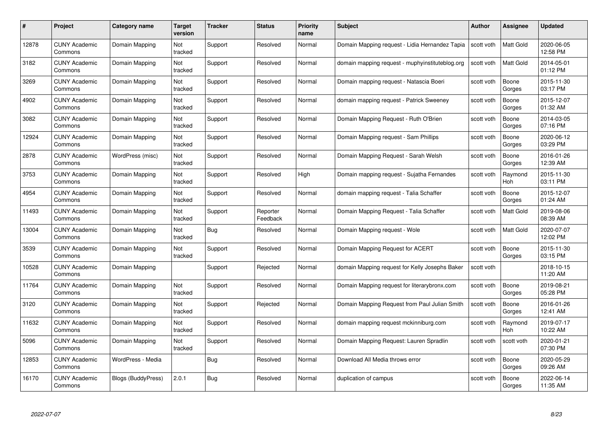| #     | Project                         | Category name      | Target<br>version | <b>Tracker</b> | <b>Status</b>        | <b>Priority</b><br>name | <b>Subject</b>                                  | <b>Author</b> | <b>Assignee</b>       | <b>Updated</b>         |
|-------|---------------------------------|--------------------|-------------------|----------------|----------------------|-------------------------|-------------------------------------------------|---------------|-----------------------|------------------------|
| 12878 | <b>CUNY Academic</b><br>Commons | Domain Mapping     | Not<br>tracked    | Support        | Resolved             | Normal                  | Domain Mapping request - Lidia Hernandez Tapia  | scott voth    | <b>Matt Gold</b>      | 2020-06-05<br>12:58 PM |
| 3182  | <b>CUNY Academic</b><br>Commons | Domain Mapping     | Not<br>tracked    | Support        | Resolved             | Normal                  | domain mapping request - muphyinstituteblog.org | scott voth    | Matt Gold             | 2014-05-01<br>01:12 PM |
| 3269  | <b>CUNY Academic</b><br>Commons | Domain Mapping     | Not<br>tracked    | Support        | Resolved             | Normal                  | Domain mapping request - Natascia Boeri         | scott voth    | Boone<br>Gorges       | 2015-11-30<br>03:17 PM |
| 4902  | <b>CUNY Academic</b><br>Commons | Domain Mapping     | Not<br>tracked    | Support        | Resolved             | Normal                  | domain mapping request - Patrick Sweeney        | scott voth    | Boone<br>Gorges       | 2015-12-07<br>01:32 AM |
| 3082  | <b>CUNY Academic</b><br>Commons | Domain Mapping     | Not<br>tracked    | Support        | Resolved             | Normal                  | Domain Mapping Request - Ruth O'Brien           | scott voth    | Boone<br>Gorges       | 2014-03-05<br>07:16 PM |
| 12924 | <b>CUNY Academic</b><br>Commons | Domain Mapping     | Not<br>tracked    | Support        | Resolved             | Normal                  | Domain Mapping request - Sam Phillips           | scott voth    | Boone<br>Gorges       | 2020-06-12<br>03:29 PM |
| 2878  | <b>CUNY Academic</b><br>Commons | WordPress (misc)   | Not<br>tracked    | Support        | Resolved             | Normal                  | Domain Mapping Request - Sarah Welsh            | scott voth    | Boone<br>Gorges       | 2016-01-26<br>12:39 AM |
| 3753  | <b>CUNY Academic</b><br>Commons | Domain Mapping     | Not<br>tracked    | Support        | Resolved             | High                    | Domain mapping request - Sujatha Fernandes      | scott voth    | Raymond<br>Hoh        | 2015-11-30<br>03:11 PM |
| 4954  | <b>CUNY Academic</b><br>Commons | Domain Mapping     | Not<br>tracked    | Support        | Resolved             | Normal                  | domain mapping request - Talia Schaffer         | scott voth    | Boone<br>Gorges       | 2015-12-07<br>01:24 AM |
| 11493 | <b>CUNY Academic</b><br>Commons | Domain Mapping     | Not<br>tracked    | Support        | Reporter<br>Feedback | Normal                  | Domain Mapping Request - Talia Schaffer         | scott voth    | Matt Gold             | 2019-08-06<br>08:39 AM |
| 13004 | <b>CUNY Academic</b><br>Commons | Domain Mapping     | Not<br>tracked    | Bug            | Resolved             | Normal                  | Domain Mapping request - Wole                   | scott voth    | Matt Gold             | 2020-07-07<br>12:02 PM |
| 3539  | <b>CUNY Academic</b><br>Commons | Domain Mapping     | Not<br>tracked    | Support        | Resolved             | Normal                  | Domain Mapping Request for ACERT                | scott voth    | Boone<br>Gorges       | 2015-11-30<br>03:15 PM |
| 10528 | <b>CUNY Academic</b><br>Commons | Domain Mapping     |                   | Support        | Rejected             | Normal                  | domain Mapping request for Kelly Josephs Baker  | scott voth    |                       | 2018-10-15<br>11:20 AM |
| 11764 | <b>CUNY Academic</b><br>Commons | Domain Mapping     | Not<br>tracked    | Support        | Resolved             | Normal                  | Domain Mapping request for literarybronx.com    | scott voth    | Boone<br>Gorges       | 2019-08-21<br>05:28 PM |
| 3120  | <b>CUNY Academic</b><br>Commons | Domain Mapping     | Not<br>tracked    | Support        | Rejected             | Normal                  | Domain Mapping Request from Paul Julian Smith   | scott voth    | Boone<br>Gorges       | 2016-01-26<br>12:41 AM |
| 11632 | <b>CUNY Academic</b><br>Commons | Domain Mapping     | Not<br>tracked    | Support        | Resolved             | Normal                  | domain mapping request mckinniburg.com          | scott voth    | Raymond<br><b>Hoh</b> | 2019-07-17<br>10:22 AM |
| 5096  | <b>CUNY Academic</b><br>Commons | Domain Mapping     | Not<br>tracked    | Support        | Resolved             | Normal                  | Domain Mapping Request: Lauren Spradlin         | scott voth    | scott voth            | 2020-01-21<br>07:30 PM |
| 12853 | <b>CUNY Academic</b><br>Commons | WordPress - Media  |                   | <b>Bug</b>     | Resolved             | Normal                  | Download All Media throws error                 | scott voth    | Boone<br>Gorges       | 2020-05-29<br>09:26 AM |
| 16170 | CUNY Academic<br>Commons        | Blogs (BuddyPress) | 2.0.1             | <b>Bug</b>     | Resolved             | Normal                  | duplication of campus                           | scott voth    | Boone<br>Gorges       | 2022-06-14<br>11:35 AM |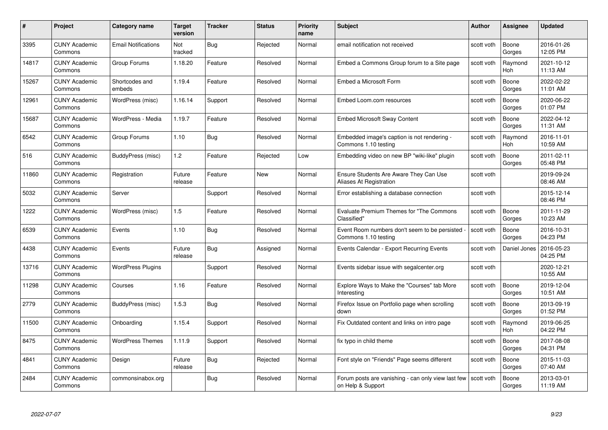| #     | Project                         | Category name              | Target<br>version | <b>Tracker</b> | <b>Status</b> | <b>Priority</b><br>name | <b>Subject</b>                                                          | Author     | Assignee              | <b>Updated</b>         |
|-------|---------------------------------|----------------------------|-------------------|----------------|---------------|-------------------------|-------------------------------------------------------------------------|------------|-----------------------|------------------------|
| 3395  | <b>CUNY Academic</b><br>Commons | <b>Email Notifications</b> | Not<br>tracked    | Bug            | Rejected      | Normal                  | email notification not received                                         | scott voth | Boone<br>Gorges       | 2016-01-26<br>12:05 PM |
| 14817 | <b>CUNY Academic</b><br>Commons | Group Forums               | 1.18.20           | Feature        | Resolved      | Normal                  | Embed a Commons Group forum to a Site page                              | scott voth | Raymond<br><b>Hoh</b> | 2021-10-12<br>11:13 AM |
| 15267 | <b>CUNY Academic</b><br>Commons | Shortcodes and<br>embeds   | 1.19.4            | Feature        | Resolved      | Normal                  | Embed a Microsoft Form                                                  | scott voth | Boone<br>Gorges       | 2022-02-22<br>11:01 AM |
| 12961 | <b>CUNY Academic</b><br>Commons | WordPress (misc)           | 1.16.14           | Support        | Resolved      | Normal                  | Embed Loom.com resources                                                | scott voth | Boone<br>Gorges       | 2020-06-22<br>01:07 PM |
| 15687 | <b>CUNY Academic</b><br>Commons | WordPress - Media          | 1.19.7            | Feature        | Resolved      | Normal                  | <b>Embed Microsoft Sway Content</b>                                     | scott voth | Boone<br>Gorges       | 2022-04-12<br>11:31 AM |
| 6542  | <b>CUNY Academic</b><br>Commons | Group Forums               | 1.10              | <b>Bug</b>     | Resolved      | Normal                  | Embedded image's caption is not rendering -<br>Commons 1.10 testing     | scott voth | Raymond<br>Hoh        | 2016-11-01<br>10:59 AM |
| 516   | <b>CUNY Academic</b><br>Commons | BuddyPress (misc)          | 1.2               | Feature        | Rejected      | Low                     | Embedding video on new BP "wiki-like" plugin                            | scott voth | Boone<br>Gorges       | 2011-02-11<br>05:48 PM |
| 11860 | <b>CUNY Academic</b><br>Commons | Registration               | Future<br>release | Feature        | <b>New</b>    | Normal                  | Ensure Students Are Aware They Can Use<br>Aliases At Registration       | scott voth |                       | 2019-09-24<br>08:46 AM |
| 5032  | <b>CUNY Academic</b><br>Commons | Server                     |                   | Support        | Resolved      | Normal                  | Error establishing a database connection                                | scott voth |                       | 2015-12-14<br>08:46 PM |
| 1222  | <b>CUNY Academic</b><br>Commons | WordPress (misc)           | 1.5               | Feature        | Resolved      | Normal                  | Evaluate Premium Themes for "The Commons<br>Classified"                 | scott voth | Boone<br>Gorges       | 2011-11-29<br>10:23 AM |
| 6539  | <b>CUNY Academic</b><br>Commons | Events                     | 1.10              | <b>Bug</b>     | Resolved      | Normal                  | Event Room numbers don't seem to be persisted<br>Commons 1.10 testing   | scott voth | Boone<br>Gorges       | 2016-10-31<br>04:23 PM |
| 4438  | <b>CUNY Academic</b><br>Commons | Events                     | Future<br>release | <b>Bug</b>     | Assigned      | Normal                  | Events Calendar - Export Recurring Events                               | scott voth | Daniel Jones          | 2016-05-23<br>04:25 PM |
| 13716 | <b>CUNY Academic</b><br>Commons | <b>WordPress Plugins</b>   |                   | Support        | Resolved      | Normal                  | Events sidebar issue with segalcenter.org                               | scott voth |                       | 2020-12-21<br>10:55 AM |
| 11298 | <b>CUNY Academic</b><br>Commons | Courses                    | 1.16              | Feature        | Resolved      | Normal                  | Explore Ways to Make the "Courses" tab More<br>Interesting              | scott voth | Boone<br>Gorges       | 2019-12-04<br>10:51 AM |
| 2779  | <b>CUNY Academic</b><br>Commons | BuddyPress (misc)          | 1.5.3             | Bug            | Resolved      | Normal                  | Firefox Issue on Portfolio page when scrolling<br>down                  | scott voth | Boone<br>Gorges       | 2013-09-19<br>01:52 PM |
| 11500 | <b>CUNY Academic</b><br>Commons | Onboarding                 | 1.15.4            | Support        | Resolved      | Normal                  | Fix Outdated content and links on intro page                            | scott voth | Raymond<br>Hoh        | 2019-06-25<br>04:22 PM |
| 8475  | <b>CUNY Academic</b><br>Commons | <b>WordPress Themes</b>    | 1.11.9            | Support        | Resolved      | Normal                  | fix typo in child theme                                                 | scott voth | Boone<br>Gorges       | 2017-08-08<br>04:31 PM |
| 4841  | <b>CUNY Academic</b><br>Commons | Design                     | Future<br>release | <b>Bug</b>     | Rejected      | Normal                  | Font style on "Friends" Page seems different                            | scott voth | Boone<br>Gorges       | 2015-11-03<br>07:40 AM |
| 2484  | <b>CUNY Academic</b><br>Commons | commonsinabox.org          |                   | <b>Bug</b>     | Resolved      | Normal                  | Forum posts are vanishing - can only view last few<br>on Help & Support | scott voth | Boone<br>Gorges       | 2013-03-01<br>11:19 AM |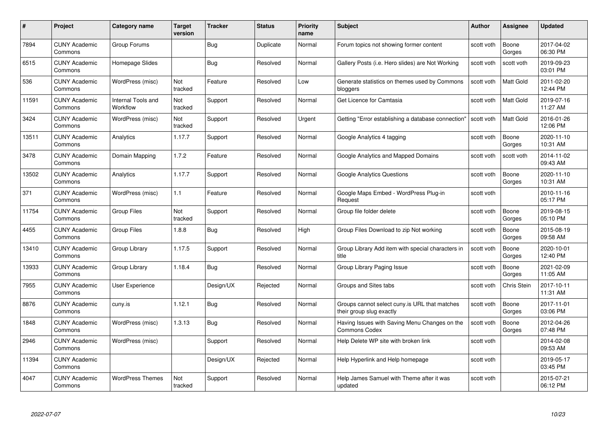| #     | Project                         | <b>Category name</b>           | <b>Target</b><br>version | <b>Tracker</b> | <b>Status</b> | <b>Priority</b><br>name | <b>Subject</b>                                                            | <b>Author</b> | <b>Assignee</b>    | <b>Updated</b>         |
|-------|---------------------------------|--------------------------------|--------------------------|----------------|---------------|-------------------------|---------------------------------------------------------------------------|---------------|--------------------|------------------------|
| 7894  | <b>CUNY Academic</b><br>Commons | Group Forums                   |                          | Bug            | Duplicate     | Normal                  | Forum topics not showing former content                                   | scott voth    | Boone<br>Gorges    | 2017-04-02<br>06:30 PM |
| 6515  | <b>CUNY Academic</b><br>Commons | Homepage Slides                |                          | Bug            | Resolved      | Normal                  | Gallery Posts (i.e. Hero slides) are Not Working                          | scott voth    | scott voth         | 2019-09-23<br>03:01 PM |
| 536   | <b>CUNY Academic</b><br>Commons | WordPress (misc)               | Not<br>tracked           | Feature        | Resolved      | Low                     | Generate statistics on themes used by Commons<br>bloggers                 | scott voth    | <b>Matt Gold</b>   | 2011-02-20<br>12:44 PM |
| 11591 | <b>CUNY Academic</b><br>Commons | Internal Tools and<br>Workflow | Not<br>tracked           | Support        | Resolved      | Normal                  | Get Licence for Camtasia                                                  | scott voth    | <b>Matt Gold</b>   | 2019-07-16<br>11:27 AM |
| 3424  | <b>CUNY Academic</b><br>Commons | WordPress (misc)               | Not<br>tracked           | Support        | Resolved      | Urgent                  | Getting "Error establishing a database connection"                        | scott voth    | <b>Matt Gold</b>   | 2016-01-26<br>12:06 PM |
| 13511 | <b>CUNY Academic</b><br>Commons | Analytics                      | 1.17.7                   | Support        | Resolved      | Normal                  | Google Analytics 4 tagging                                                | scott voth    | Boone<br>Gorges    | 2020-11-10<br>10:31 AM |
| 3478  | <b>CUNY Academic</b><br>Commons | Domain Mapping                 | 1.7.2                    | Feature        | Resolved      | Normal                  | Google Analytics and Mapped Domains                                       | scott voth    | scott voth         | 2014-11-02<br>09:43 AM |
| 13502 | <b>CUNY Academic</b><br>Commons | Analytics                      | 1.17.7                   | Support        | Resolved      | Normal                  | <b>Google Analytics Questions</b>                                         | scott voth    | Boone<br>Gorges    | 2020-11-10<br>10:31 AM |
| 371   | <b>CUNY Academic</b><br>Commons | WordPress (misc)               | 1.1                      | Feature        | Resolved      | Normal                  | Google Maps Embed - WordPress Plug-in<br>Request                          | scott voth    |                    | 2010-11-16<br>05:17 PM |
| 11754 | <b>CUNY Academic</b><br>Commons | Group Files                    | Not<br>tracked           | Support        | Resolved      | Normal                  | Group file folder delete                                                  | scott voth    | Boone<br>Gorges    | 2019-08-15<br>05:10 PM |
| 4455  | <b>CUNY Academic</b><br>Commons | <b>Group Files</b>             | 1.8.8                    | <b>Bug</b>     | Resolved      | High                    | Group Files Download to zip Not working                                   | scott voth    | Boone<br>Gorges    | 2015-08-19<br>09:58 AM |
| 13410 | <b>CUNY Academic</b><br>Commons | Group Library                  | 1.17.5                   | Support        | Resolved      | Normal                  | Group Library Add item with special characters in<br>title                | scott voth    | Boone<br>Gorges    | 2020-10-01<br>12:40 PM |
| 13933 | <b>CUNY Academic</b><br>Commons | Group Library                  | 1.18.4                   | <b>Bug</b>     | Resolved      | Normal                  | Group Library Paging Issue                                                | scott voth    | Boone<br>Gorges    | 2021-02-09<br>11:05 AM |
| 7955  | <b>CUNY Academic</b><br>Commons | <b>User Experience</b>         |                          | Design/UX      | Rejected      | Normal                  | Groups and Sites tabs                                                     | scott voth    | <b>Chris Stein</b> | 2017-10-11<br>11:31 AM |
| 8876  | <b>CUNY Academic</b><br>Commons | cuny.is                        | 1.12.1                   | Bug            | Resolved      | Normal                  | Groups cannot select cuny is URL that matches<br>their group slug exactly | scott voth    | Boone<br>Gorges    | 2017-11-01<br>03:06 PM |
| 1848  | <b>CUNY Academic</b><br>Commons | WordPress (misc)               | 1.3.13                   | <b>Bug</b>     | Resolved      | Normal                  | Having Issues with Saving Menu Changes on the<br><b>Commons Codex</b>     | scott voth    | Boone<br>Gorges    | 2012-04-26<br>07:48 PM |
| 2946  | <b>CUNY Academic</b><br>Commons | WordPress (misc)               |                          | Support        | Resolved      | Normal                  | Help Delete WP site with broken link                                      | scott voth    |                    | 2014-02-08<br>09:53 AM |
| 11394 | <b>CUNY Academic</b><br>Commons |                                |                          | Design/UX      | Rejected      | Normal                  | Help Hyperlink and Help homepage                                          | scott voth    |                    | 2019-05-17<br>03:45 PM |
| 4047  | CUNY Academic<br>Commons        | <b>WordPress Themes</b>        | Not<br>tracked           | Support        | Resolved      | Normal                  | Help James Samuel with Theme after it was<br>updated                      | scott voth    |                    | 2015-07-21<br>06:12 PM |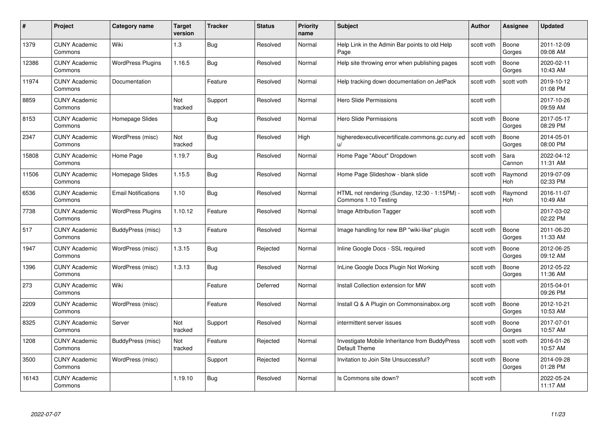| #     | Project                         | <b>Category name</b>       | Target<br>version | <b>Tracker</b> | <b>Status</b> | <b>Priority</b><br>name | <b>Subject</b>                                                        | <b>Author</b> | <b>Assignee</b>       | <b>Updated</b>         |
|-------|---------------------------------|----------------------------|-------------------|----------------|---------------|-------------------------|-----------------------------------------------------------------------|---------------|-----------------------|------------------------|
| 1379  | <b>CUNY Academic</b><br>Commons | Wiki                       | $1.3$             | Bug            | Resolved      | Normal                  | Help Link in the Admin Bar points to old Help<br>Page                 | scott voth    | Boone<br>Gorges       | 2011-12-09<br>09:08 AM |
| 12386 | <b>CUNY Academic</b><br>Commons | <b>WordPress Plugins</b>   | 1.16.5            | Bug            | Resolved      | Normal                  | Help site throwing error when publishing pages                        | scott voth    | Boone<br>Gorges       | 2020-02-11<br>10:43 AM |
| 11974 | <b>CUNY Academic</b><br>Commons | Documentation              |                   | Feature        | Resolved      | Normal                  | Help tracking down documentation on JetPack                           | scott voth    | scott voth            | 2019-10-12<br>01:08 PM |
| 8859  | <b>CUNY Academic</b><br>Commons |                            | Not<br>tracked    | Support        | Resolved      | Normal                  | <b>Hero Slide Permissions</b>                                         | scott voth    |                       | 2017-10-26<br>09:59 AM |
| 8153  | <b>CUNY Academic</b><br>Commons | Homepage Slides            |                   | Bug            | Resolved      | Normal                  | Hero Slide Permissions                                                | scott voth    | Boone<br>Gorges       | 2017-05-17<br>08:29 PM |
| 2347  | <b>CUNY Academic</b><br>Commons | WordPress (misc)           | Not<br>tracked    | Bug            | Resolved      | High                    | higheredexecutivecertificate.commons.gc.cuny.ed<br>u/                 | scott voth    | Boone<br>Gorges       | 2014-05-01<br>08:00 PM |
| 15808 | <b>CUNY Academic</b><br>Commons | Home Page                  | 1.19.7            | Bug            | Resolved      | Normal                  | Home Page "About" Dropdown                                            | scott voth    | Sara<br>Cannon        | 2022-04-12<br>11:31 AM |
| 11506 | <b>CUNY Academic</b><br>Commons | Homepage Slides            | 1.15.5            | Bug            | Resolved      | Normal                  | Home Page Slideshow - blank slide                                     | scott voth    | Raymond<br>Hoh        | 2019-07-09<br>02:33 PM |
| 6536  | <b>CUNY Academic</b><br>Commons | <b>Email Notifications</b> | 1.10              | Bug            | Resolved      | Normal                  | HTML not rendering (Sunday, 12:30 - 1:15PM) -<br>Commons 1.10 Testing | scott voth    | Raymond<br><b>Hoh</b> | 2016-11-07<br>10:49 AM |
| 7738  | <b>CUNY Academic</b><br>Commons | <b>WordPress Plugins</b>   | 1.10.12           | Feature        | Resolved      | Normal                  | Image Attribution Tagger                                              | scott voth    |                       | 2017-03-02<br>02:22 PM |
| 517   | <b>CUNY Academic</b><br>Commons | BuddyPress (misc)          | 1.3               | Feature        | Resolved      | Normal                  | Image handling for new BP "wiki-like" plugin                          | scott voth    | Boone<br>Gorges       | 2011-06-20<br>11:33 AM |
| 1947  | <b>CUNY Academic</b><br>Commons | WordPress (misc)           | 1.3.15            | Bug            | Rejected      | Normal                  | Inline Google Docs - SSL required                                     | scott voth    | Boone<br>Gorges       | 2012-06-25<br>09:12 AM |
| 1396  | <b>CUNY Academic</b><br>Commons | WordPress (misc)           | 1.3.13            | <b>Bug</b>     | Resolved      | Normal                  | InLine Google Docs Plugin Not Working                                 | scott voth    | Boone<br>Gorges       | 2012-05-22<br>11:36 AM |
| 273   | <b>CUNY Academic</b><br>Commons | Wiki                       |                   | Feature        | Deferred      | Normal                  | Install Collection extension for MW                                   | scott voth    |                       | 2015-04-01<br>09:26 PM |
| 2209  | CUNY Academic<br>Commons        | WordPress (misc)           |                   | Feature        | Resolved      | Normal                  | Install Q & A Plugin on Commonsinabox.org                             | scott voth    | Boone<br>Gorges       | 2012-10-21<br>10:53 AM |
| 8325  | <b>CUNY Academic</b><br>Commons | Server                     | Not<br>tracked    | Support        | Resolved      | Normal                  | intermittent server issues                                            | scott voth    | Boone<br>Gorges       | 2017-07-01<br>10:57 AM |
| 1208  | <b>CUNY Academic</b><br>Commons | BuddyPress (misc)          | Not<br>tracked    | Feature        | Rejected      | Normal                  | Investigate Mobile Inheritance from BuddyPress<br>Default Theme       | scott voth    | scott voth            | 2016-01-26<br>10:57 AM |
| 3500  | <b>CUNY Academic</b><br>Commons | WordPress (misc)           |                   | Support        | Rejected      | Normal                  | Invitation to Join Site Unsuccessful?                                 | scott voth    | Boone<br>Gorges       | 2014-09-28<br>01:28 PM |
| 16143 | CUNY Academic<br>Commons        |                            | 1.19.10           | Bug            | Resolved      | Normal                  | Is Commons site down?                                                 | scott voth    |                       | 2022-05-24<br>11:17 AM |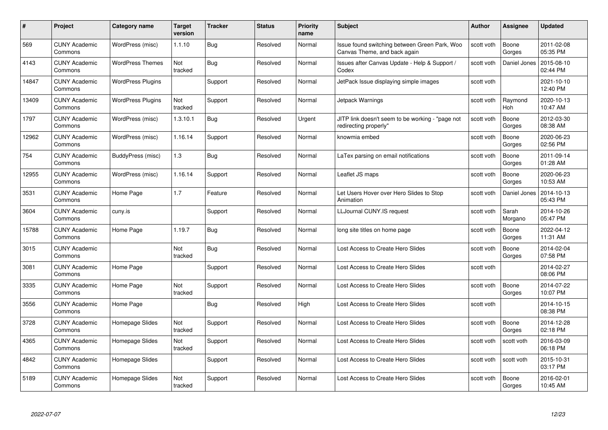| #     | Project                         | <b>Category name</b>     | Target<br>version | <b>Tracker</b> | <b>Status</b> | <b>Priority</b><br>name | <b>Subject</b>                                                                | <b>Author</b> | <b>Assignee</b>  | <b>Updated</b>         |
|-------|---------------------------------|--------------------------|-------------------|----------------|---------------|-------------------------|-------------------------------------------------------------------------------|---------------|------------------|------------------------|
| 569   | <b>CUNY Academic</b><br>Commons | WordPress (misc)         | 1.1.10            | Bug            | Resolved      | Normal                  | Issue found switching between Green Park, Woo<br>Canvas Theme, and back again | scott voth    | Boone<br>Gorges  | 2011-02-08<br>05:35 PM |
| 4143  | <b>CUNY Academic</b><br>Commons | <b>WordPress Themes</b>  | Not<br>tracked    | Bug            | Resolved      | Normal                  | Issues after Canvas Update - Help & Support /<br>Codex                        | scott voth    | Daniel Jones     | 2015-08-10<br>02:44 PM |
| 14847 | <b>CUNY Academic</b><br>Commons | <b>WordPress Plugins</b> |                   | Support        | Resolved      | Normal                  | JetPack Issue displaying simple images                                        | scott voth    |                  | 2021-10-10<br>12:40 PM |
| 13409 | <b>CUNY Academic</b><br>Commons | <b>WordPress Plugins</b> | Not<br>tracked    | Support        | Resolved      | Normal                  | Jetpack Warnings                                                              | scott voth    | Raymond<br>Hoh   | 2020-10-13<br>10:47 AM |
| 1797  | <b>CUNY Academic</b><br>Commons | WordPress (misc)         | 1.3.10.1          | <b>Bug</b>     | Resolved      | Urgent                  | JITP link doesn't seem to be working - "page not<br>redirecting properly"     | scott voth    | Boone<br>Gorges  | 2012-03-30<br>08:38 AM |
| 12962 | <b>CUNY Academic</b><br>Commons | WordPress (misc)         | 1.16.14           | Support        | Resolved      | Normal                  | knowmia embed                                                                 | scott voth    | Boone<br>Gorges  | 2020-06-23<br>02:56 PM |
| 754   | <b>CUNY Academic</b><br>Commons | BuddyPress (misc)        | 1.3               | Bug            | Resolved      | Normal                  | LaTex parsing on email notifications                                          | scott voth    | Boone<br>Gorges  | 2011-09-14<br>01:28 AM |
| 12955 | <b>CUNY Academic</b><br>Commons | WordPress (misc)         | 1.16.14           | Support        | Resolved      | Normal                  | Leaflet JS maps                                                               | scott voth    | Boone<br>Gorges  | 2020-06-23<br>10:53 AM |
| 3531  | <b>CUNY Academic</b><br>Commons | Home Page                | 1.7               | Feature        | Resolved      | Normal                  | Let Users Hover over Hero Slides to Stop<br>Animation                         | scott voth    | Daniel Jones     | 2014-10-13<br>05:43 PM |
| 3604  | <b>CUNY Academic</b><br>Commons | cuny.is                  |                   | Support        | Resolved      | Normal                  | LLJournal CUNY.IS request                                                     | scott voth    | Sarah<br>Morgano | 2014-10-26<br>05:47 PM |
| 15788 | CUNY Academic<br>Commons        | Home Page                | 1.19.7            | Bug            | Resolved      | Normal                  | long site titles on home page                                                 | scott voth    | Boone<br>Gorges  | 2022-04-12<br>11:31 AM |
| 3015  | <b>CUNY Academic</b><br>Commons |                          | Not<br>tracked    | <b>Bug</b>     | Resolved      | Normal                  | Lost Access to Create Hero Slides                                             | scott voth    | Boone<br>Gorges  | 2014-02-04<br>07:58 PM |
| 3081  | <b>CUNY Academic</b><br>Commons | Home Page                |                   | Support        | Resolved      | Normal                  | Lost Access to Create Hero Slides                                             | scott voth    |                  | 2014-02-27<br>08:06 PM |
| 3335  | <b>CUNY Academic</b><br>Commons | Home Page                | Not<br>tracked    | Support        | Resolved      | Normal                  | Lost Access to Create Hero Slides                                             | scott voth    | Boone<br>Gorges  | 2014-07-22<br>10:07 PM |
| 3556  | <b>CUNY Academic</b><br>Commons | Home Page                |                   | Bug            | Resolved      | High                    | Lost Access to Create Hero Slides                                             | scott voth    |                  | 2014-10-15<br>08:38 PM |
| 3728  | <b>CUNY Academic</b><br>Commons | Homepage Slides          | Not<br>tracked    | Support        | Resolved      | Normal                  | Lost Access to Create Hero Slides                                             | scott voth    | Boone<br>Gorges  | 2014-12-28<br>02:18 PM |
| 4365  | <b>CUNY Academic</b><br>Commons | Homepage Slides          | Not<br>tracked    | Support        | Resolved      | Normal                  | Lost Access to Create Hero Slides                                             | scott voth    | scott voth       | 2016-03-09<br>06:18 PM |
| 4842  | <b>CUNY Academic</b><br>Commons | Homepage Slides          |                   | Support        | Resolved      | Normal                  | Lost Access to Create Hero Slides                                             | scott voth    | scott voth       | 2015-10-31<br>03:17 PM |
| 5189  | CUNY Academic<br>Commons        | Homepage Slides          | Not<br>tracked    | Support        | Resolved      | Normal                  | Lost Access to Create Hero Slides                                             | scott voth    | Boone<br>Gorges  | 2016-02-01<br>10:45 AM |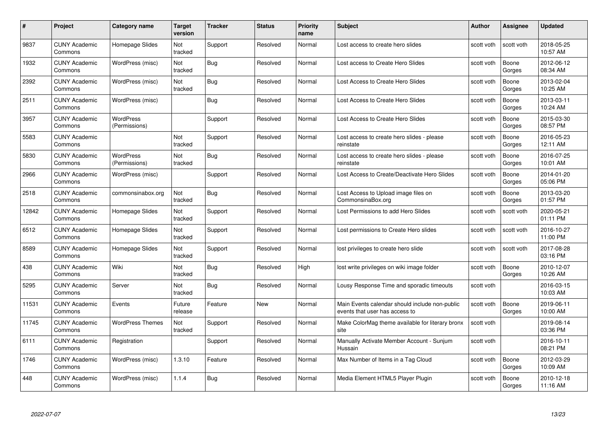| #     | Project                         | <b>Category name</b>              | Target<br>version | <b>Tracker</b> | <b>Status</b> | <b>Priority</b><br>name | <b>Subject</b>                                                                   | <b>Author</b> | <b>Assignee</b> | <b>Updated</b>         |
|-------|---------------------------------|-----------------------------------|-------------------|----------------|---------------|-------------------------|----------------------------------------------------------------------------------|---------------|-----------------|------------------------|
| 9837  | <b>CUNY Academic</b><br>Commons | Homepage Slides                   | Not<br>tracked    | Support        | Resolved      | Normal                  | Lost access to create hero slides                                                | scott voth    | scott voth      | 2018-05-25<br>10:57 AM |
| 1932  | <b>CUNY Academic</b><br>Commons | WordPress (misc)                  | Not<br>tracked    | <b>Bug</b>     | Resolved      | Normal                  | Lost access to Create Hero Slides                                                | scott voth    | Boone<br>Gorges | 2012-06-12<br>08:34 AM |
| 2392  | <b>CUNY Academic</b><br>Commons | WordPress (misc)                  | Not<br>tracked    | Bug            | Resolved      | Normal                  | Lost Access to Create Hero Slides                                                | scott voth    | Boone<br>Gorges | 2013-02-04<br>10:25 AM |
| 2511  | <b>CUNY Academic</b><br>Commons | WordPress (misc)                  |                   | Bug            | Resolved      | Normal                  | Lost Access to Create Hero Slides                                                | scott voth    | Boone<br>Gorges | 2013-03-11<br>10:24 AM |
| 3957  | <b>CUNY Academic</b><br>Commons | <b>WordPress</b><br>(Permissions) |                   | Support        | Resolved      | Normal                  | Lost Access to Create Hero Slides                                                | scott voth    | Boone<br>Gorges | 2015-03-30<br>08:57 PM |
| 5583  | <b>CUNY Academic</b><br>Commons |                                   | Not<br>tracked    | Support        | Resolved      | Normal                  | Lost access to create hero slides - please<br>reinstate                          | scott voth    | Boone<br>Gorges | 2016-05-23<br>12:11 AM |
| 5830  | <b>CUNY Academic</b><br>Commons | <b>WordPress</b><br>(Permissions) | Not<br>tracked    | Bug            | Resolved      | Normal                  | Lost access to create hero slides - please<br>reinstate                          | scott voth    | Boone<br>Gorges | 2016-07-25<br>10:01 AM |
| 2966  | <b>CUNY Academic</b><br>Commons | WordPress (misc)                  |                   | Support        | Resolved      | Normal                  | Lost Access to Create/Deactivate Hero Slides                                     | scott voth    | Boone<br>Gorges | 2014-01-20<br>05:06 PM |
| 2518  | <b>CUNY Academic</b><br>Commons | commonsinabox.org                 | Not<br>tracked    | Bug            | Resolved      | Normal                  | Lost Access to Upload image files on<br>CommonsinaBox.org                        | scott voth    | Boone<br>Gorges | 2013-03-20<br>01:57 PM |
| 12842 | <b>CUNY Academic</b><br>Commons | Homepage Slides                   | Not<br>tracked    | Support        | Resolved      | Normal                  | Lost Permissions to add Hero Slides                                              | scott voth    | scott voth      | 2020-05-21<br>01:11 PM |
| 6512  | <b>CUNY Academic</b><br>Commons | Homepage Slides                   | Not<br>tracked    | Support        | Resolved      | Normal                  | Lost permissions to Create Hero slides                                           | scott voth    | scott voth      | 2016-10-27<br>11:00 PM |
| 8589  | <b>CUNY Academic</b><br>Commons | Homepage Slides                   | Not<br>tracked    | Support        | Resolved      | Normal                  | lost privileges to create hero slide                                             | scott voth    | scott voth      | 2017-08-28<br>03:16 PM |
| 438   | <b>CUNY Academic</b><br>Commons | Wiki                              | Not<br>tracked    | <b>Bug</b>     | Resolved      | High                    | lost write privileges on wiki image folder                                       | scott voth    | Boone<br>Gorges | 2010-12-07<br>10:26 AM |
| 5295  | <b>CUNY Academic</b><br>Commons | Server                            | Not<br>tracked    | <b>Bug</b>     | Resolved      | Normal                  | Lousy Response Time and sporadic timeouts                                        | scott voth    |                 | 2016-03-15<br>10:03 AM |
| 11531 | <b>CUNY Academic</b><br>Commons | Events                            | Future<br>release | Feature        | New           | Normal                  | Main Events calendar should include non-public<br>events that user has access to | scott voth    | Boone<br>Gorges | 2019-06-11<br>10:00 AM |
| 11745 | <b>CUNY Academic</b><br>Commons | <b>WordPress Themes</b>           | Not<br>tracked    | Support        | Resolved      | Normal                  | Make ColorMag theme available for literary bronx<br>site                         | scott voth    |                 | 2019-08-14<br>03:36 PM |
| 6111  | <b>CUNY Academic</b><br>Commons | Registration                      |                   | Support        | Resolved      | Normal                  | Manually Activate Member Account - Sunjum<br>Hussain                             | scott voth    |                 | 2016-10-11<br>08:21 PM |
| 1746  | <b>CUNY Academic</b><br>Commons | WordPress (misc)                  | 1.3.10            | Feature        | Resolved      | Normal                  | Max Number of Items in a Tag Cloud                                               | scott voth    | Boone<br>Gorges | 2012-03-29<br>10:09 AM |
| 448   | CUNY Academic<br>Commons        | WordPress (misc)                  | 1.1.4             | <b>Bug</b>     | Resolved      | Normal                  | Media Element HTML5 Player Plugin                                                | scott voth    | Boone<br>Gorges | 2010-12-18<br>11:16 AM |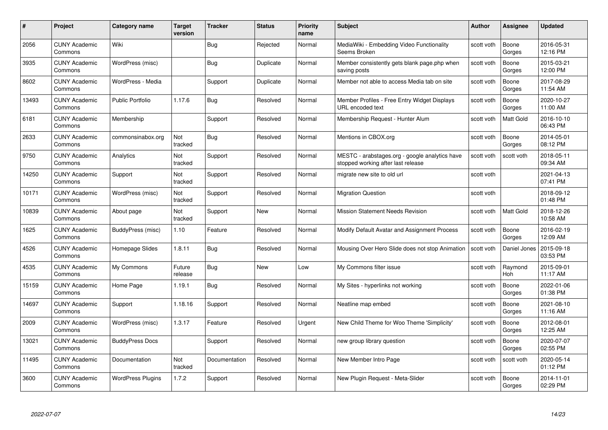| #     | Project                         | <b>Category name</b>     | Target<br>version | <b>Tracker</b> | <b>Status</b> | <b>Priority</b><br>name | <b>Subject</b>                                                                       | <b>Author</b> | <b>Assignee</b>  | <b>Updated</b>         |
|-------|---------------------------------|--------------------------|-------------------|----------------|---------------|-------------------------|--------------------------------------------------------------------------------------|---------------|------------------|------------------------|
| 2056  | <b>CUNY Academic</b><br>Commons | Wiki                     |                   | Bug            | Rejected      | Normal                  | MediaWiki - Embedding Video Functionality<br>Seems Broken                            | scott voth    | Boone<br>Gorges  | 2016-05-31<br>12:16 PM |
| 3935  | <b>CUNY Academic</b><br>Commons | WordPress (misc)         |                   | Bug            | Duplicate     | Normal                  | Member consistently gets blank page.php when<br>saving posts                         | scott voth    | Boone<br>Gorges  | 2015-03-21<br>12:00 PM |
| 8602  | <b>CUNY Academic</b><br>Commons | WordPress - Media        |                   | Support        | Duplicate     | Normal                  | Member not able to access Media tab on site                                          | scott voth    | Boone<br>Gorges  | 2017-08-29<br>11:54 AM |
| 13493 | <b>CUNY Academic</b><br>Commons | Public Portfolio         | 1.17.6            | Bug            | Resolved      | Normal                  | Member Profiles - Free Entry Widget Displays<br>URL encoded text                     | scott voth    | Boone<br>Gorges  | 2020-10-27<br>11:00 AM |
| 6181  | <b>CUNY Academic</b><br>Commons | Membership               |                   | Support        | Resolved      | Normal                  | Membership Request - Hunter Alum                                                     | scott voth    | <b>Matt Gold</b> | 2016-10-10<br>06:43 PM |
| 2633  | <b>CUNY Academic</b><br>Commons | commonsinabox.org        | Not<br>tracked    | Bug            | Resolved      | Normal                  | Mentions in CBOX.org                                                                 | scott voth    | Boone<br>Gorges  | 2014-05-01<br>08:12 PM |
| 9750  | <b>CUNY Academic</b><br>Commons | Analytics                | Not<br>tracked    | Support        | Resolved      | Normal                  | MESTC - arabstages.org - google analytics have<br>stopped working after last release | scott voth    | scott voth       | 2018-05-11<br>09:34 AM |
| 14250 | <b>CUNY Academic</b><br>Commons | Support                  | Not<br>tracked    | Support        | Resolved      | Normal                  | migrate new site to old url                                                          | scott voth    |                  | 2021-04-13<br>07:41 PM |
| 10171 | <b>CUNY Academic</b><br>Commons | WordPress (misc)         | Not<br>tracked    | Support        | Resolved      | Normal                  | <b>Migration Question</b>                                                            | scott voth    |                  | 2018-09-12<br>01:48 PM |
| 10839 | <b>CUNY Academic</b><br>Commons | About page               | Not<br>tracked    | Support        | New           | Normal                  | <b>Mission Statement Needs Revision</b>                                              | scott voth    | <b>Matt Gold</b> | 2018-12-26<br>10:58 AM |
| 1625  | CUNY Academic<br>Commons        | BuddyPress (misc)        | 1.10              | Feature        | Resolved      | Normal                  | Modify Default Avatar and Assignment Process                                         | scott voth    | Boone<br>Gorges  | 2016-02-19<br>12:09 AM |
| 4526  | <b>CUNY Academic</b><br>Commons | Homepage Slides          | 1.8.11            | <b>Bug</b>     | Resolved      | Normal                  | Mousing Over Hero Slide does not stop Animation                                      | scott voth    | Daniel Jones     | 2015-09-18<br>03:53 PM |
| 4535  | <b>CUNY Academic</b><br>Commons | My Commons               | Future<br>release | Bug            | New           | Low                     | My Commons filter issue                                                              | scott voth    | Raymond<br>Hoh   | 2015-09-01<br>11:17 AM |
| 15159 | <b>CUNY Academic</b><br>Commons | Home Page                | 1.19.1            | Bug            | Resolved      | Normal                  | My Sites - hyperlinks not working                                                    | scott voth    | Boone<br>Gorges  | 2022-01-06<br>01:38 PM |
| 14697 | <b>CUNY Academic</b><br>Commons | Support                  | 1.18.16           | Support        | Resolved      | Normal                  | Neatline map embed                                                                   | scott voth    | Boone<br>Gorges  | 2021-08-10<br>11:16 AM |
| 2009  | <b>CUNY Academic</b><br>Commons | WordPress (misc)         | 1.3.17            | Feature        | Resolved      | Urgent                  | New Child Theme for Woo Theme 'Simplicity'                                           | scott voth    | Boone<br>Gorges  | 2012-08-01<br>12:25 AM |
| 13021 | <b>CUNY Academic</b><br>Commons | <b>BuddyPress Docs</b>   |                   | Support        | Resolved      | Normal                  | new group library question                                                           | scott voth    | Boone<br>Gorges  | 2020-07-07<br>02:55 PM |
| 11495 | <b>CUNY Academic</b><br>Commons | Documentation            | Not<br>tracked    | Documentation  | Resolved      | Normal                  | New Member Intro Page                                                                | scott voth    | scott voth       | 2020-05-14<br>01:12 PM |
| 3600  | CUNY Academic<br>Commons        | <b>WordPress Plugins</b> | 1.7.2             | Support        | Resolved      | Normal                  | New Plugin Request - Meta-Slider                                                     | scott voth    | Boone<br>Gorges  | 2014-11-01<br>02:29 PM |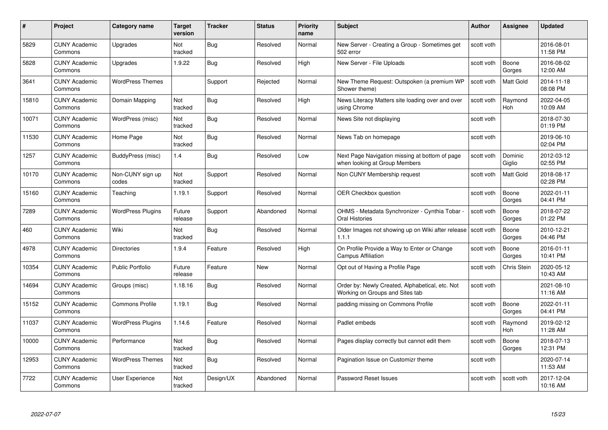| #     | Project                         | <b>Category name</b>      | Target<br>version     | <b>Tracker</b> | <b>Status</b> | <b>Priority</b><br>name | <b>Subject</b>                                                                     | <b>Author</b> | <b>Assignee</b>       | <b>Updated</b>         |
|-------|---------------------------------|---------------------------|-----------------------|----------------|---------------|-------------------------|------------------------------------------------------------------------------------|---------------|-----------------------|------------------------|
| 5829  | <b>CUNY Academic</b><br>Commons | Upgrades                  | Not<br>tracked        | Bug            | Resolved      | Normal                  | New Server - Creating a Group - Sometimes get<br>502 error                         | scott voth    |                       | 2016-08-01<br>11:58 PM |
| 5828  | <b>CUNY Academic</b><br>Commons | Upgrades                  | 1.9.22                | <b>Bug</b>     | Resolved      | High                    | New Server - File Uploads                                                          | scott voth    | Boone<br>Gorges       | 2016-08-02<br>12:00 AM |
| 3641  | <b>CUNY Academic</b><br>Commons | <b>WordPress Themes</b>   |                       | Support        | Rejected      | Normal                  | New Theme Request: Outspoken (a premium WP<br>Shower theme)                        | scott voth    | Matt Gold             | 2014-11-18<br>08:08 PM |
| 15810 | <b>CUNY Academic</b><br>Commons | Domain Mapping            | <b>Not</b><br>tracked | Bug            | Resolved      | High                    | News Literacy Matters site loading over and over<br>using Chrome                   | scott voth    | Raymond<br>Hoh        | 2022-04-05<br>10:09 AM |
| 10071 | <b>CUNY Academic</b><br>Commons | WordPress (misc)          | Not<br>tracked        | Bug            | Resolved      | Normal                  | News Site not displaying                                                           | scott voth    |                       | 2018-07-30<br>01:19 PM |
| 11530 | <b>CUNY Academic</b><br>Commons | Home Page                 | <b>Not</b><br>tracked | <b>Bug</b>     | Resolved      | Normal                  | News Tab on homepage                                                               | scott voth    |                       | 2019-06-10<br>02:04 PM |
| 1257  | <b>CUNY Academic</b><br>Commons | BuddyPress (misc)         | 1.4                   | Bug            | Resolved      | Low                     | Next Page Navigation missing at bottom of page<br>when looking at Group Members    | scott voth    | Dominic<br>Giglio     | 2012-03-12<br>02:55 PM |
| 10170 | <b>CUNY Academic</b><br>Commons | Non-CUNY sign up<br>codes | Not<br>tracked        | Support        | Resolved      | Normal                  | Non CUNY Membership request                                                        | scott voth    | <b>Matt Gold</b>      | 2018-08-17<br>02:28 PM |
| 15160 | <b>CUNY Academic</b><br>Commons | Teaching                  | 1.19.1                | Support        | Resolved      | Normal                  | <b>OER Checkbox question</b>                                                       | scott voth    | Boone<br>Gorges       | 2022-01-11<br>04:41 PM |
| 7289  | <b>CUNY Academic</b><br>Commons | <b>WordPress Plugins</b>  | Future<br>release     | Support        | Abandoned     | Normal                  | OHMS - Metadata Synchronizer - Cynthia Tobar<br>Oral Histories                     | scott voth    | Boone<br>Gorges       | 2018-07-22<br>01:22 PM |
| 460   | CUNY Academic<br>Commons        | Wiki                      | Not<br>tracked        | Bug            | Resolved      | Normal                  | Older Images not showing up on Wiki after release Scott voth<br>1.1.1              |               | Boone<br>Gorges       | 2010-12-21<br>04:46 PM |
| 4978  | <b>CUNY Academic</b><br>Commons | <b>Directories</b>        | 1.9.4                 | Feature        | Resolved      | High                    | On Profile Provide a Way to Enter or Change<br><b>Campus Affiliation</b>           | scott voth    | Boone<br>Gorges       | 2016-01-11<br>10:41 PM |
| 10354 | <b>CUNY Academic</b><br>Commons | <b>Public Portfolio</b>   | Future<br>release     | Feature        | New           | Normal                  | Opt out of Having a Profile Page                                                   | scott voth    | <b>Chris Stein</b>    | 2020-05-12<br>10:43 AM |
| 14694 | <b>CUNY Academic</b><br>Commons | Groups (misc)             | 1.18.16               | <b>Bug</b>     | Resolved      | Normal                  | Order by: Newly Created, Alphabetical, etc. Not<br>Working on Groups and Sites tab | scott voth    |                       | 2021-08-10<br>11:16 AM |
| 15152 | <b>CUNY Academic</b><br>Commons | <b>Commons Profile</b>    | 1.19.1                | Bug            | Resolved      | Normal                  | padding missing on Commons Profile                                                 | scott voth    | Boone<br>Gorges       | 2022-01-11<br>04:41 PM |
| 11037 | <b>CUNY Academic</b><br>Commons | <b>WordPress Plugins</b>  | 1.14.6                | Feature        | Resolved      | Normal                  | Padlet embeds                                                                      | scott voth    | Raymond<br><b>Hoh</b> | 2019-02-12<br>11:28 AM |
| 10000 | <b>CUNY Academic</b><br>Commons | Performance               | Not<br>tracked        | <b>Bug</b>     | Resolved      | Normal                  | Pages display correctly but cannot edit them                                       | scott voth    | Boone<br>Gorges       | 2018-07-13<br>12:31 PM |
| 12953 | <b>CUNY Academic</b><br>Commons | <b>WordPress Themes</b>   | Not<br>tracked        | Bug            | Resolved      | Normal                  | Pagination Issue on Customizr theme                                                | scott voth    |                       | 2020-07-14<br>11:53 AM |
| 7722  | <b>CUNY Academic</b><br>Commons | User Experience           | Not<br>tracked        | Design/UX      | Abandoned     | Normal                  | Password Reset Issues                                                              | scott voth    | scott voth            | 2017-12-04<br>10:16 AM |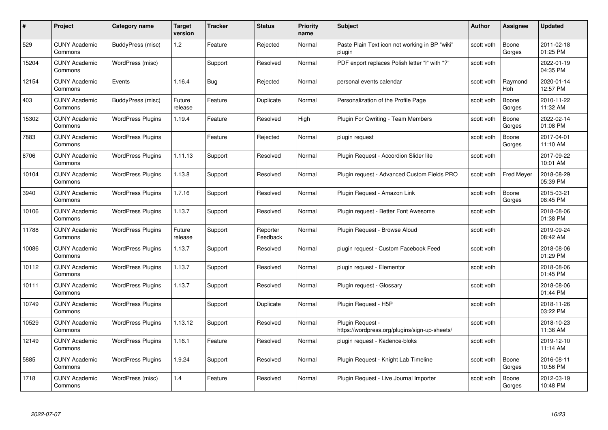| #     | Project                         | <b>Category name</b>     | Target<br>version | <b>Tracker</b> | <b>Status</b>        | <b>Priority</b><br>name | <b>Subject</b>                                                    | <b>Author</b> | <b>Assignee</b>   | <b>Updated</b>         |
|-------|---------------------------------|--------------------------|-------------------|----------------|----------------------|-------------------------|-------------------------------------------------------------------|---------------|-------------------|------------------------|
| 529   | <b>CUNY Academic</b><br>Commons | BuddyPress (misc)        | 1.2               | Feature        | Rejected             | Normal                  | Paste Plain Text icon not working in BP "wiki"<br>plugin          | scott voth    | Boone<br>Gorges   | 2011-02-18<br>01:25 PM |
| 15204 | <b>CUNY Academic</b><br>Commons | WordPress (misc)         |                   | Support        | Resolved             | Normal                  | PDF export replaces Polish letter "ł" with "?"                    | scott voth    |                   | 2022-01-19<br>04:35 PM |
| 12154 | <b>CUNY Academic</b><br>Commons | Events                   | 1.16.4            | Bug            | Rejected             | Normal                  | personal events calendar                                          | scott voth    | Raymond<br>Hoh    | 2020-01-14<br>12:57 PM |
| 403   | <b>CUNY Academic</b><br>Commons | BuddyPress (misc)        | Future<br>release | Feature        | Duplicate            | Normal                  | Personalization of the Profile Page                               | scott voth    | Boone<br>Gorges   | 2010-11-22<br>11:32 AM |
| 15302 | <b>CUNY Academic</b><br>Commons | <b>WordPress Plugins</b> | 1.19.4            | Feature        | Resolved             | High                    | <b>Plugin For Qwriting - Team Members</b>                         | scott voth    | Boone<br>Gorges   | 2022-02-14<br>01:08 PM |
| 7883  | <b>CUNY Academic</b><br>Commons | <b>WordPress Plugins</b> |                   | Feature        | Rejected             | Normal                  | plugin request                                                    | scott voth    | Boone<br>Gorges   | 2017-04-01<br>11:10 AM |
| 8706  | <b>CUNY Academic</b><br>Commons | <b>WordPress Plugins</b> | 1.11.13           | Support        | Resolved             | Normal                  | Plugin Request - Accordion Slider lite                            | scott voth    |                   | 2017-09-22<br>10:01 AM |
| 10104 | <b>CUNY Academic</b><br>Commons | <b>WordPress Plugins</b> | 1.13.8            | Support        | Resolved             | Normal                  | Plugin request - Advanced Custom Fields PRO                       | scott voth    | <b>Fred Meyer</b> | 2018-08-29<br>05:39 PM |
| 3940  | <b>CUNY Academic</b><br>Commons | <b>WordPress Plugins</b> | 1.7.16            | Support        | Resolved             | Normal                  | Plugin Request - Amazon Link                                      | scott voth    | Boone<br>Gorges   | 2015-03-21<br>08:45 PM |
| 10106 | <b>CUNY Academic</b><br>Commons | <b>WordPress Plugins</b> | 1.13.7            | Support        | Resolved             | Normal                  | Plugin reguest - Better Font Awesome                              | scott voth    |                   | 2018-08-06<br>01:38 PM |
| 11788 | CUNY Academic<br>Commons        | <b>WordPress Plugins</b> | Future<br>release | Support        | Reporter<br>Feedback | Normal                  | Plugin Request - Browse Aloud                                     | scott voth    |                   | 2019-09-24<br>08:42 AM |
| 10086 | <b>CUNY Academic</b><br>Commons | <b>WordPress Plugins</b> | 1.13.7            | Support        | Resolved             | Normal                  | plugin request - Custom Facebook Feed                             | scott voth    |                   | 2018-08-06<br>01:29 PM |
| 10112 | <b>CUNY Academic</b><br>Commons | <b>WordPress Plugins</b> | 1.13.7            | Support        | Resolved             | Normal                  | plugin request - Elementor                                        | scott voth    |                   | 2018-08-06<br>01:45 PM |
| 10111 | <b>CUNY Academic</b><br>Commons | <b>WordPress Plugins</b> | 1.13.7            | Support        | Resolved             | Normal                  | Plugin request - Glossary                                         | scott voth    |                   | 2018-08-06<br>01:44 PM |
| 10749 | <b>CUNY Academic</b><br>Commons | <b>WordPress Plugins</b> |                   | Support        | Duplicate            | Normal                  | Plugin Request - H5P                                              | scott voth    |                   | 2018-11-26<br>03:22 PM |
| 10529 | <b>CUNY Academic</b><br>Commons | <b>WordPress Plugins</b> | 1.13.12           | Support        | Resolved             | Normal                  | Plugin Request -<br>https://wordpress.org/plugins/sign-up-sheets/ | scott voth    |                   | 2018-10-23<br>11:36 AM |
| 12149 | <b>CUNY Academic</b><br>Commons | <b>WordPress Plugins</b> | 1.16.1            | Feature        | Resolved             | Normal                  | plugin request - Kadence-bloks                                    | scott voth    |                   | 2019-12-10<br>11:14 AM |
| 5885  | <b>CUNY Academic</b><br>Commons | <b>WordPress Plugins</b> | 1.9.24            | Support        | Resolved             | Normal                  | Plugin Request - Knight Lab Timeline                              | scott voth    | Boone<br>Gorges   | 2016-08-11<br>10:56 PM |
| 1718  | CUNY Academic<br>Commons        | WordPress (misc)         | 1.4               | Feature        | Resolved             | Normal                  | Plugin Request - Live Journal Importer                            | scott voth    | Boone<br>Gorges   | 2012-03-19<br>10:48 PM |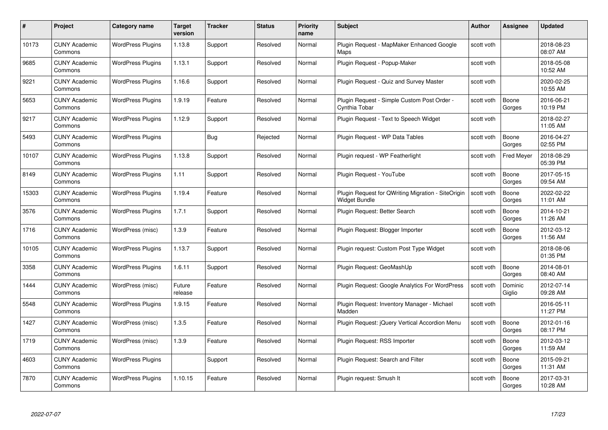| #     | Project                         | Category name            | Target<br>version | <b>Tracker</b> | <b>Status</b> | <b>Priority</b><br>name | <b>Subject</b>                                                             | <b>Author</b> | <b>Assignee</b>   | <b>Updated</b>         |
|-------|---------------------------------|--------------------------|-------------------|----------------|---------------|-------------------------|----------------------------------------------------------------------------|---------------|-------------------|------------------------|
| 10173 | <b>CUNY Academic</b><br>Commons | <b>WordPress Plugins</b> | 1.13.8            | Support        | Resolved      | Normal                  | Plugin Request - MapMaker Enhanced Google<br>Maps                          | scott voth    |                   | 2018-08-23<br>08:07 AM |
| 9685  | <b>CUNY Academic</b><br>Commons | <b>WordPress Plugins</b> | 1.13.1            | Support        | Resolved      | Normal                  | Plugin Request - Popup-Maker                                               | scott voth    |                   | 2018-05-08<br>10:52 AM |
| 9221  | <b>CUNY Academic</b><br>Commons | <b>WordPress Plugins</b> | 1.16.6            | Support        | Resolved      | Normal                  | Plugin Request - Quiz and Survey Master                                    | scott voth    |                   | 2020-02-25<br>10:55 AM |
| 5653  | <b>CUNY Academic</b><br>Commons | <b>WordPress Plugins</b> | 1.9.19            | Feature        | Resolved      | Normal                  | Plugin Request - Simple Custom Post Order -<br>Cynthia Tobar               | scott voth    | Boone<br>Gorges   | 2016-06-21<br>10:19 PM |
| 9217  | <b>CUNY Academic</b><br>Commons | <b>WordPress Plugins</b> | 1.12.9            | Support        | Resolved      | Normal                  | Plugin Request - Text to Speech Widget                                     | scott voth    |                   | 2018-02-27<br>11:05 AM |
| 5493  | <b>CUNY Academic</b><br>Commons | <b>WordPress Plugins</b> |                   | <b>Bug</b>     | Rejected      | Normal                  | Plugin Request - WP Data Tables                                            | scott voth    | Boone<br>Gorges   | 2016-04-27<br>02:55 PM |
| 10107 | <b>CUNY Academic</b><br>Commons | <b>WordPress Plugins</b> | 1.13.8            | Support        | Resolved      | Normal                  | Plugin request - WP Featherlight                                           | scott voth    | <b>Fred Meyer</b> | 2018-08-29<br>05:39 PM |
| 8149  | <b>CUNY Academic</b><br>Commons | <b>WordPress Plugins</b> | 1.11              | Support        | Resolved      | Normal                  | Plugin Request - YouTube                                                   | scott voth    | Boone<br>Gorges   | 2017-05-15<br>09:54 AM |
| 15303 | <b>CUNY Academic</b><br>Commons | <b>WordPress Plugins</b> | 1.19.4            | Feature        | Resolved      | Normal                  | Plugin Request for QWriting Migration - SiteOrigin<br><b>Widget Bundle</b> | scott voth    | Boone<br>Gorges   | 2022-02-22<br>11:01 AM |
| 3576  | <b>CUNY Academic</b><br>Commons | <b>WordPress Plugins</b> | 1.7.1             | Support        | Resolved      | Normal                  | Plugin Request: Better Search                                              | scott voth    | Boone<br>Gorges   | 2014-10-21<br>11:26 AM |
| 1716  | <b>CUNY Academic</b><br>Commons | WordPress (misc)         | 1.3.9             | Feature        | Resolved      | Normal                  | Plugin Request: Blogger Importer                                           | scott voth    | Boone<br>Gorges   | 2012-03-12<br>11:56 AM |
| 10105 | <b>CUNY Academic</b><br>Commons | <b>WordPress Plugins</b> | 1.13.7            | Support        | Resolved      | Normal                  | Plugin request: Custom Post Type Widget                                    | scott voth    |                   | 2018-08-06<br>01:35 PM |
| 3358  | <b>CUNY Academic</b><br>Commons | <b>WordPress Plugins</b> | 1.6.11            | Support        | Resolved      | Normal                  | Plugin Request: GeoMashUp                                                  | scott voth    | Boone<br>Gorges   | 2014-08-01<br>08:40 AM |
| 1444  | <b>CUNY Academic</b><br>Commons | WordPress (misc)         | Future<br>release | Feature        | Resolved      | Normal                  | Plugin Request: Google Analytics For WordPress                             | scott voth    | Dominic<br>Giglio | 2012-07-14<br>09:28 AM |
| 5548  | <b>CUNY Academic</b><br>Commons | <b>WordPress Plugins</b> | 1.9.15            | Feature        | Resolved      | Normal                  | Plugin Request: Inventory Manager - Michael<br>Madden                      | scott voth    |                   | 2016-05-11<br>11:27 PM |
| 1427  | <b>CUNY Academic</b><br>Commons | WordPress (misc)         | 1.3.5             | Feature        | Resolved      | Normal                  | Plugin Request: jQuery Vertical Accordion Menu                             | scott voth    | Boone<br>Gorges   | 2012-01-16<br>08:17 PM |
| 1719  | <b>CUNY Academic</b><br>Commons | WordPress (misc)         | 1.3.9             | Feature        | Resolved      | Normal                  | Plugin Request: RSS Importer                                               | scott voth    | Boone<br>Gorges   | 2012-03-12<br>11:59 AM |
| 4603  | <b>CUNY Academic</b><br>Commons | <b>WordPress Plugins</b> |                   | Support        | Resolved      | Normal                  | Plugin Request: Search and Filter                                          | scott voth    | Boone<br>Gorges   | 2015-09-21<br>11:31 AM |
| 7870  | CUNY Academic<br>Commons        | <b>WordPress Plugins</b> | 1.10.15           | Feature        | Resolved      | Normal                  | Plugin request: Smush It                                                   | scott voth    | Boone<br>Gorges   | 2017-03-31<br>10:28 AM |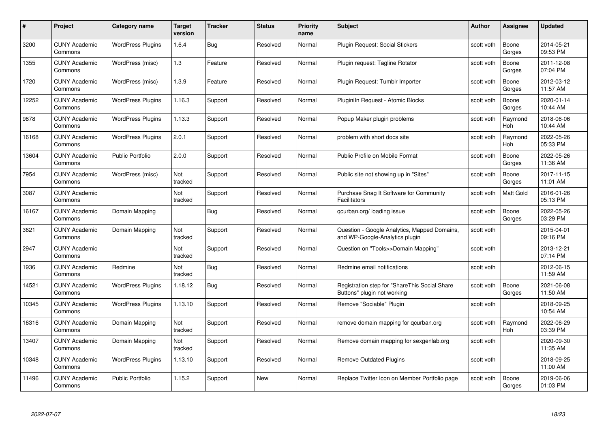| #     | Project                         | <b>Category name</b>     | Target<br>version | <b>Tracker</b> | <b>Status</b> | <b>Priority</b><br>name | <b>Subject</b>                                                                 | <b>Author</b> | <b>Assignee</b> | <b>Updated</b>         |
|-------|---------------------------------|--------------------------|-------------------|----------------|---------------|-------------------------|--------------------------------------------------------------------------------|---------------|-----------------|------------------------|
| 3200  | <b>CUNY Academic</b><br>Commons | <b>WordPress Plugins</b> | 1.6.4             | Bug            | Resolved      | Normal                  | Plugin Request: Social Stickers                                                | scott voth    | Boone<br>Gorges | 2014-05-21<br>09:53 PM |
| 1355  | <b>CUNY Academic</b><br>Commons | WordPress (misc)         | 1.3               | Feature        | Resolved      | Normal                  | Plugin request: Tagline Rotator                                                | scott voth    | Boone<br>Gorges | 2011-12-08<br>07:04 PM |
| 1720  | <b>CUNY Academic</b><br>Commons | WordPress (misc)         | 1.3.9             | Feature        | Resolved      | Normal                  | Plugin Request: Tumblr Importer                                                | scott voth    | Boone<br>Gorges | 2012-03-12<br>11:57 AM |
| 12252 | <b>CUNY Academic</b><br>Commons | <b>WordPress Plugins</b> | 1.16.3            | Support        | Resolved      | Normal                  | Pluginiln Request - Atomic Blocks                                              | scott voth    | Boone<br>Gorges | 2020-01-14<br>10:44 AM |
| 9878  | <b>CUNY Academic</b><br>Commons | <b>WordPress Plugins</b> | 1.13.3            | Support        | Resolved      | Normal                  | Popup Maker plugin problems                                                    | scott voth    | Raymond<br>Hoh  | 2018-06-06<br>10:44 AM |
| 16168 | <b>CUNY Academic</b><br>Commons | <b>WordPress Plugins</b> | 2.0.1             | Support        | Resolved      | Normal                  | problem with short docs site                                                   | scott voth    | Raymond<br>Hoh  | 2022-05-26<br>05:33 PM |
| 13604 | <b>CUNY Academic</b><br>Commons | <b>Public Portfolio</b>  | 2.0.0             | Support        | Resolved      | Normal                  | Public Profile on Mobile Format                                                | scott voth    | Boone<br>Gorges | 2022-05-26<br>11:36 AM |
| 7954  | <b>CUNY Academic</b><br>Commons | WordPress (misc)         | Not<br>tracked    | Support        | Resolved      | Normal                  | Public site not showing up in "Sites"                                          | scott voth    | Boone<br>Gorges | 2017-11-15<br>11:01 AM |
| 3087  | <b>CUNY Academic</b><br>Commons |                          | Not<br>tracked    | Support        | Resolved      | Normal                  | Purchase Snag It Software for Community<br><b>Facilitators</b>                 | scott voth    | Matt Gold       | 2016-01-26<br>05:13 PM |
| 16167 | <b>CUNY Academic</b><br>Commons | Domain Mapping           |                   | Bug            | Resolved      | Normal                  | qcurban.org/loading issue                                                      | scott voth    | Boone<br>Gorges | 2022-05-26<br>03:29 PM |
| 3621  | <b>CUNY Academic</b><br>Commons | Domain Mapping           | Not<br>tracked    | Support        | Resolved      | Normal                  | Question - Google Analytics, Mapped Domains,<br>and WP-Google-Analytics plugin | scott voth    |                 | 2015-04-01<br>09:16 PM |
| 2947  | <b>CUNY Academic</b><br>Commons |                          | Not<br>tracked    | Support        | Resolved      | Normal                  | Question on "Tools>>Domain Mapping"                                            | scott voth    |                 | 2013-12-21<br>07:14 PM |
| 1936  | <b>CUNY Academic</b><br>Commons | Redmine                  | Not<br>tracked    | Bug            | Resolved      | Normal                  | Redmine email notifications                                                    | scott voth    |                 | 2012-06-15<br>11:59 AM |
| 14521 | <b>CUNY Academic</b><br>Commons | <b>WordPress Plugins</b> | 1.18.12           | Bug            | Resolved      | Normal                  | Registration step for "ShareThis Social Share<br>Buttons" plugin not working   | scott voth    | Boone<br>Gorges | 2021-06-08<br>11:50 AM |
| 10345 | CUNY Academic<br>Commons        | <b>WordPress Plugins</b> | 1.13.10           | Support        | Resolved      | Normal                  | Remove "Sociable" Plugin                                                       | scott voth    |                 | 2018-09-25<br>10:54 AM |
| 16316 | <b>CUNY Academic</b><br>Commons | Domain Mapping           | Not<br>tracked    | Support        | Resolved      | Normal                  | remove domain mapping for qcurban.org                                          | scott voth    | Raymond<br>Hoh  | 2022-06-29<br>03:39 PM |
| 13407 | <b>CUNY Academic</b><br>Commons | Domain Mapping           | Not<br>tracked    | Support        | Resolved      | Normal                  | Remove domain mapping for sexgenlab.org                                        | scott voth    |                 | 2020-09-30<br>11:35 AM |
| 10348 | <b>CUNY Academic</b><br>Commons | <b>WordPress Plugins</b> | 1.13.10           | Support        | Resolved      | Normal                  | <b>Remove Outdated Plugins</b>                                                 | scott voth    |                 | 2018-09-25<br>11:00 AM |
| 11496 | <b>CUNY Academic</b><br>Commons | <b>Public Portfolio</b>  | 1.15.2            | Support        | <b>New</b>    | Normal                  | Replace Twitter Icon on Member Portfolio page                                  | scott voth    | Boone<br>Gorges | 2019-06-06<br>01:03 PM |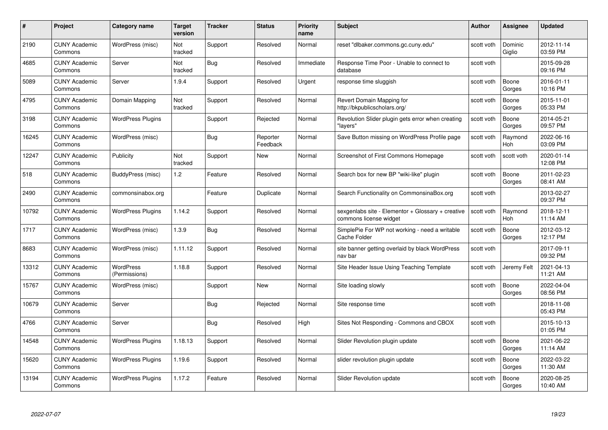| #     | Project                         | <b>Category name</b>              | Target<br>version | <b>Tracker</b> | <b>Status</b>        | <b>Priority</b><br>name | <b>Subject</b>                                                              | <b>Author</b> | <b>Assignee</b>   | <b>Updated</b>         |
|-------|---------------------------------|-----------------------------------|-------------------|----------------|----------------------|-------------------------|-----------------------------------------------------------------------------|---------------|-------------------|------------------------|
| 2190  | <b>CUNY Academic</b><br>Commons | WordPress (misc)                  | Not<br>tracked    | Support        | Resolved             | Normal                  | reset "dlbaker.commons.gc.cuny.edu"                                         | scott voth    | Dominic<br>Giglio | 2012-11-14<br>03:59 PM |
| 4685  | <b>CUNY Academic</b><br>Commons | Server                            | Not<br>tracked    | <b>Bug</b>     | Resolved             | Immediate               | Response Time Poor - Unable to connect to<br>database                       | scott voth    |                   | 2015-09-28<br>09:16 PM |
| 5089  | <b>CUNY Academic</b><br>Commons | Server                            | 1.9.4             | Support        | Resolved             | Urgent                  | response time sluggish                                                      | scott voth    | Boone<br>Gorges   | 2016-01-11<br>10:16 PM |
| 4795  | <b>CUNY Academic</b><br>Commons | Domain Mapping                    | Not<br>tracked    | Support        | Resolved             | Normal                  | Revert Domain Mapping for<br>http://bkpublicscholars.org/                   | scott voth    | Boone<br>Gorges   | 2015-11-01<br>05:33 PM |
| 3198  | <b>CUNY Academic</b><br>Commons | <b>WordPress Plugins</b>          |                   | Support        | Rejected             | Normal                  | Revolution Slider plugin gets error when creating<br>"lavers'               | scott voth    | Boone<br>Gorges   | 2014-05-21<br>09:57 PM |
| 16245 | <b>CUNY Academic</b><br>Commons | WordPress (misc)                  |                   | Bug            | Reporter<br>Feedback | Normal                  | Save Button missing on WordPress Profile page                               | scott voth    | Raymond<br>Hoh    | 2022-06-16<br>03:09 PM |
| 12247 | <b>CUNY Academic</b><br>Commons | Publicity                         | Not<br>tracked    | Support        | New                  | Normal                  | Screenshot of First Commons Homepage                                        | scott voth    | scott voth        | 2020-01-14<br>12:08 PM |
| 518   | <b>CUNY Academic</b><br>Commons | BuddyPress (misc)                 | 1.2               | Feature        | Resolved             | Normal                  | Search box for new BP "wiki-like" plugin                                    | scott voth    | Boone<br>Gorges   | 2011-02-23<br>08:41 AM |
| 2490  | <b>CUNY Academic</b><br>Commons | commonsinabox.org                 |                   | Feature        | Duplicate            | Normal                  | Search Functionality on CommonsinaBox.org                                   | scott voth    |                   | 2013-02-27<br>09:37 PM |
| 10792 | <b>CUNY Academic</b><br>Commons | <b>WordPress Plugins</b>          | 1.14.2            | Support        | Resolved             | Normal                  | sexgenlabs site - Elementor + Glossary + creative<br>commons license widget | scott voth    | Raymond<br>Hoh    | 2018-12-11<br>11:14 AM |
| 1717  | CUNY Academic<br>Commons        | WordPress (misc)                  | 1.3.9             | Bug            | Resolved             | Normal                  | SimplePie For WP not working - need a writable<br>Cache Folder              | scott voth    | Boone<br>Gorges   | 2012-03-12<br>12:17 PM |
| 8683  | <b>CUNY Academic</b><br>Commons | WordPress (misc)                  | 1.11.12           | Support        | Resolved             | Normal                  | site banner getting overlaid by black WordPress<br>nav bar                  | scott voth    |                   | 2017-09-11<br>09:32 PM |
| 13312 | <b>CUNY Academic</b><br>Commons | <b>WordPress</b><br>(Permissions) | 1.18.8            | Support        | Resolved             | Normal                  | Site Header Issue Using Teaching Template                                   | scott voth    | Jeremy Felt       | 2021-04-13<br>11:21 AM |
| 15767 | <b>CUNY Academic</b><br>Commons | WordPress (misc)                  |                   | Support        | New                  | Normal                  | Site loading slowly                                                         | scott voth    | Boone<br>Gorges   | 2022-04-04<br>08:56 PM |
| 10679 | <b>CUNY Academic</b><br>Commons | Server                            |                   | Bug            | Rejected             | Normal                  | Site response time                                                          | scott voth    |                   | 2018-11-08<br>05:43 PM |
| 4766  | <b>CUNY Academic</b><br>Commons | Server                            |                   | Bug            | Resolved             | High                    | Sites Not Responding - Commons and CBOX                                     | scott voth    |                   | 2015-10-13<br>01:05 PM |
| 14548 | <b>CUNY Academic</b><br>Commons | <b>WordPress Plugins</b>          | 1.18.13           | Support        | Resolved             | Normal                  | Slider Revolution plugin update                                             | scott voth    | Boone<br>Gorges   | 2021-06-22<br>11:14 AM |
| 15620 | <b>CUNY Academic</b><br>Commons | <b>WordPress Plugins</b>          | 1.19.6            | Support        | Resolved             | Normal                  | slider revolution plugin update                                             | scott voth    | Boone<br>Gorges   | 2022-03-22<br>11:30 AM |
| 13194 | CUNY Academic<br>Commons        | <b>WordPress Plugins</b>          | 1.17.2            | Feature        | Resolved             | Normal                  | Slider Revolution update                                                    | scott voth    | Boone<br>Gorges   | 2020-08-25<br>10:40 AM |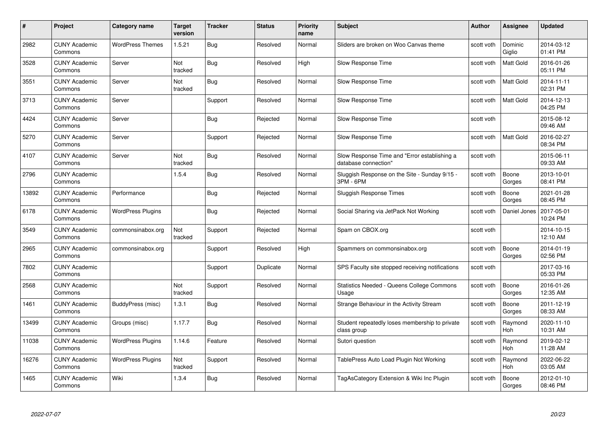| #     | Project                         | <b>Category name</b>     | Target<br>version | <b>Tracker</b> | <b>Status</b> | <b>Priority</b><br>name | <b>Subject</b>                                                       | Author     | Assignee              | <b>Updated</b>         |
|-------|---------------------------------|--------------------------|-------------------|----------------|---------------|-------------------------|----------------------------------------------------------------------|------------|-----------------------|------------------------|
| 2982  | <b>CUNY Academic</b><br>Commons | <b>WordPress Themes</b>  | 1.5.21            | Bug            | Resolved      | Normal                  | Sliders are broken on Woo Canvas theme                               | scott voth | Dominic<br>Giglio     | 2014-03-12<br>01:41 PM |
| 3528  | <b>CUNY Academic</b><br>Commons | Server                   | Not<br>tracked    | Bug            | Resolved      | High                    | Slow Response Time                                                   | scott voth | Matt Gold             | 2016-01-26<br>05:11 PM |
| 3551  | <b>CUNY Academic</b><br>Commons | Server                   | Not<br>tracked    | <b>Bug</b>     | Resolved      | Normal                  | Slow Response Time                                                   | scott voth | <b>Matt Gold</b>      | 2014-11-11<br>02:31 PM |
| 3713  | <b>CUNY Academic</b><br>Commons | Server                   |                   | Support        | Resolved      | Normal                  | Slow Response Time                                                   | scott voth | Matt Gold             | 2014-12-13<br>04:25 PM |
| 4424  | <b>CUNY Academic</b><br>Commons | Server                   |                   | <b>Bug</b>     | Rejected      | Normal                  | Slow Response Time                                                   | scott voth |                       | 2015-08-12<br>09:46 AM |
| 5270  | <b>CUNY Academic</b><br>Commons | Server                   |                   | Support        | Rejected      | Normal                  | Slow Response Time                                                   | scott voth | <b>Matt Gold</b>      | 2016-02-27<br>08:34 PM |
| 4107  | <b>CUNY Academic</b><br>Commons | Server                   | Not<br>tracked    | Bug            | Resolved      | Normal                  | Slow Response Time and "Error establishing a<br>database connection" | scott voth |                       | 2015-06-11<br>09:33 AM |
| 2796  | <b>CUNY Academic</b><br>Commons |                          | 1.5.4             | Bug            | Resolved      | Normal                  | Sluggish Response on the Site - Sunday 9/15 -<br>3PM - 6PM           | scott voth | Boone<br>Gorges       | 2013-10-01<br>08:41 PM |
| 13892 | <b>CUNY Academic</b><br>Commons | Performance              |                   | Bug            | Rejected      | Normal                  | Sluggish Response Times                                              | scott voth | Boone<br>Gorges       | 2021-01-28<br>08:45 PM |
| 6178  | <b>CUNY Academic</b><br>Commons | <b>WordPress Plugins</b> |                   | Bug            | Rejected      | Normal                  | Social Sharing via JetPack Not Working                               | scott voth | Daniel Jones          | 2017-05-01<br>10:24 PM |
| 3549  | <b>CUNY Academic</b><br>Commons | commonsinabox.org        | Not<br>tracked    | Support        | Rejected      | Normal                  | Spam on CBOX.org                                                     | scott voth |                       | 2014-10-15<br>12:10 AM |
| 2965  | <b>CUNY Academic</b><br>Commons | commonsinabox.org        |                   | Support        | Resolved      | High                    | Spammers on commonsinabox.org                                        | scott voth | Boone<br>Gorges       | 2014-01-19<br>02:56 PM |
| 7802  | <b>CUNY Academic</b><br>Commons |                          |                   | Support        | Duplicate     | Normal                  | SPS Faculty site stopped receiving notifications                     | scott voth |                       | 2017-03-16<br>05:33 PM |
| 2568  | <b>CUNY Academic</b><br>Commons |                          | Not<br>tracked    | Support        | Resolved      | Normal                  | Statistics Needed - Queens College Commons<br>Usage                  | scott voth | Boone<br>Gorges       | 2016-01-26<br>12:35 AM |
| 1461  | <b>CUNY Academic</b><br>Commons | BuddyPress (misc)        | 1.3.1             | Bug            | Resolved      | Normal                  | Strange Behaviour in the Activity Stream                             | scott voth | Boone<br>Gorges       | 2011-12-19<br>08:33 AM |
| 13499 | <b>CUNY Academic</b><br>Commons | Groups (misc)            | 1.17.7            | <b>Bug</b>     | Resolved      | Normal                  | Student repeatedly loses membership to private<br>class group        | scott voth | Raymond<br><b>Hoh</b> | 2020-11-10<br>10:31 AM |
| 11038 | <b>CUNY Academic</b><br>Commons | <b>WordPress Plugins</b> | 1.14.6            | Feature        | Resolved      | Normal                  | Sutori question                                                      | scott voth | Raymond<br><b>Hoh</b> | 2019-02-12<br>11:28 AM |
| 16276 | <b>CUNY Academic</b><br>Commons | <b>WordPress Plugins</b> | Not<br>tracked    | Support        | Resolved      | Normal                  | TablePress Auto Load Plugin Not Working                              | scott voth | Raymond<br>Hoh        | 2022-06-22<br>03:05 AM |
| 1465  | <b>CUNY Academic</b><br>Commons | Wiki                     | 1.3.4             | Bug            | Resolved      | Normal                  | TagAsCategory Extension & Wiki Inc Plugin                            | scott voth | Boone<br>Gorges       | 2012-01-10<br>08:46 PM |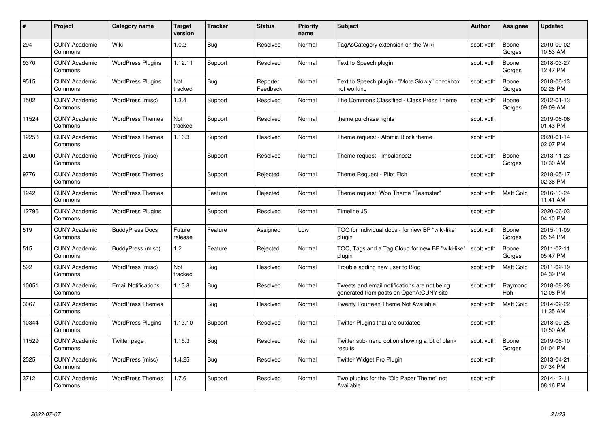| #     | Project                         | <b>Category name</b>       | Target<br>version | <b>Tracker</b> | <b>Status</b>        | <b>Priority</b><br>name | <b>Subject</b>                                                                          | <b>Author</b> | <b>Assignee</b>  | <b>Updated</b>         |
|-------|---------------------------------|----------------------------|-------------------|----------------|----------------------|-------------------------|-----------------------------------------------------------------------------------------|---------------|------------------|------------------------|
| 294   | <b>CUNY Academic</b><br>Commons | Wiki                       | 1.0.2             | <b>Bug</b>     | Resolved             | Normal                  | TagAsCategory extension on the Wiki                                                     | scott voth    | Boone<br>Gorges  | 2010-09-02<br>10:53 AM |
| 9370  | <b>CUNY Academic</b><br>Commons | <b>WordPress Plugins</b>   | 1.12.11           | Support        | Resolved             | Normal                  | Text to Speech plugin                                                                   | scott voth    | Boone<br>Gorges  | 2018-03-27<br>12:47 PM |
| 9515  | <b>CUNY Academic</b><br>Commons | <b>WordPress Plugins</b>   | Not<br>tracked    | Bug            | Reporter<br>Feedback | Normal                  | Text to Speech plugin - "More Slowly" checkbox<br>not working                           | scott voth    | Boone<br>Gorges  | 2018-06-13<br>02:26 PM |
| 1502  | <b>CUNY Academic</b><br>Commons | WordPress (misc)           | 1.3.4             | Support        | Resolved             | Normal                  | The Commons Classified - ClassiPress Theme                                              | scott voth    | Boone<br>Gorges  | 2012-01-13<br>09:09 AM |
| 11524 | <b>CUNY Academic</b><br>Commons | <b>WordPress Themes</b>    | Not<br>tracked    | Support        | Resolved             | Normal                  | theme purchase rights                                                                   | scott voth    |                  | 2019-06-06<br>01:43 PM |
| 12253 | <b>CUNY Academic</b><br>Commons | <b>WordPress Themes</b>    | 1.16.3            | Support        | Resolved             | Normal                  | Theme request - Atomic Block theme                                                      | scott voth    |                  | 2020-01-14<br>02:07 PM |
| 2900  | <b>CUNY Academic</b><br>Commons | WordPress (misc)           |                   | Support        | Resolved             | Normal                  | Theme request - Imbalance2                                                              | scott voth    | Boone<br>Gorges  | 2013-11-23<br>10:30 AM |
| 9776  | <b>CUNY Academic</b><br>Commons | <b>WordPress Themes</b>    |                   | Support        | Rejected             | Normal                  | Theme Request - Pilot Fish                                                              | scott voth    |                  | 2018-05-17<br>02:36 PM |
| 1242  | <b>CUNY Academic</b><br>Commons | <b>WordPress Themes</b>    |                   | Feature        | Rejected             | Normal                  | Theme request: Woo Theme "Teamster"                                                     | scott voth    | <b>Matt Gold</b> | 2016-10-24<br>11:41 AM |
| 12796 | <b>CUNY Academic</b><br>Commons | <b>WordPress Plugins</b>   |                   | Support        | Resolved             | Normal                  | Timeline JS                                                                             | scott voth    |                  | 2020-06-03<br>04:10 PM |
| 519   | <b>CUNY Academic</b><br>Commons | <b>BuddyPress Docs</b>     | Future<br>release | Feature        | Assigned             | Low                     | TOC for individual docs - for new BP "wiki-like"<br>plugin                              | scott voth    | Boone<br>Gorges  | 2015-11-09<br>05:54 PM |
| 515   | <b>CUNY Academic</b><br>Commons | BuddyPress (misc)          | 1.2               | Feature        | Rejected             | Normal                  | TOC, Tags and a Tag Cloud for new BP "wiki-like"<br>plugin                              | scott voth    | Boone<br>Gorges  | 2011-02-11<br>05:47 PM |
| 592   | <b>CUNY Academic</b><br>Commons | WordPress (misc)           | Not<br>tracked    | Bug            | Resolved             | Normal                  | Trouble adding new user to Blog                                                         | scott voth    | <b>Matt Gold</b> | 2011-02-19<br>04:39 PM |
| 10051 | <b>CUNY Academic</b><br>Commons | <b>Email Notifications</b> | 1.13.8            | <b>Bug</b>     | Resolved             | Normal                  | Tweets and email notifications are not being<br>generated from posts on OpenAtCUNY site | scott voth    | Raymond<br>Hoh   | 2018-08-28<br>12:08 PM |
| 3067  | CUNY Academic<br>Commons        | <b>WordPress Themes</b>    |                   | Bug            | Resolved             | Normal                  | Twenty Fourteen Theme Not Available                                                     | scott voth    | Matt Gold        | 2014-02-22<br>11:35 AM |
| 10344 | <b>CUNY Academic</b><br>Commons | <b>WordPress Plugins</b>   | 1.13.10           | Support        | Resolved             | Normal                  | Twitter Plugins that are outdated                                                       | scott voth    |                  | 2018-09-25<br>10:50 AM |
| 11529 | <b>CUNY Academic</b><br>Commons | Twitter page               | 1.15.3            | Bug            | Resolved             | Normal                  | Twitter sub-menu option showing a lot of blank<br>results                               | scott voth    | Boone<br>Gorges  | 2019-06-10<br>01:04 PM |
| 2525  | <b>CUNY Academic</b><br>Commons | WordPress (misc)           | 1.4.25            | <b>Bug</b>     | Resolved             | Normal                  | Twitter Widget Pro Plugin                                                               | scott voth    |                  | 2013-04-21<br>07:34 PM |
| 3712  | CUNY Academic<br>Commons        | <b>WordPress Themes</b>    | 1.7.6             | Support        | Resolved             | Normal                  | Two plugins for the "Old Paper Theme" not<br>Available                                  | scott voth    |                  | 2014-12-11<br>08:16 PM |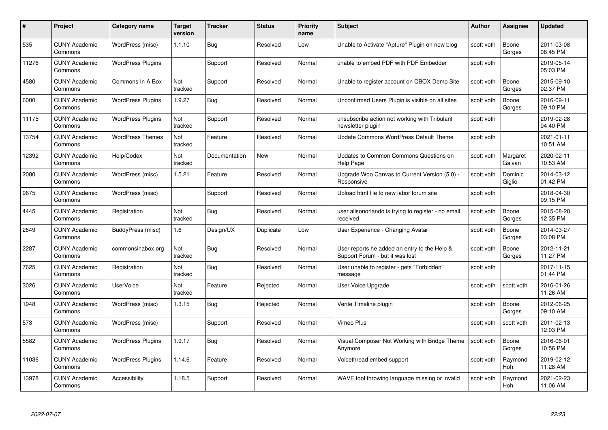| #     | Project                         | <b>Category name</b>     | Target<br>version | <b>Tracker</b> | <b>Status</b> | <b>Priority</b><br>name | <b>Subject</b>                                                                  | <b>Author</b> | <b>Assignee</b>    | <b>Updated</b>         |
|-------|---------------------------------|--------------------------|-------------------|----------------|---------------|-------------------------|---------------------------------------------------------------------------------|---------------|--------------------|------------------------|
| 535   | <b>CUNY Academic</b><br>Commons | WordPress (misc)         | 1.1.10            | <b>Bug</b>     | Resolved      | Low                     | Unable to Activate "Apture" Plugin on new blog                                  | scott voth    | Boone<br>Gorges    | 2011-03-08<br>08:45 PM |
| 11276 | <b>CUNY Academic</b><br>Commons | <b>WordPress Plugins</b> |                   | Support        | Resolved      | Normal                  | unable to embed PDF with PDF Embedder                                           | scott voth    |                    | 2019-05-14<br>05:03 PM |
| 4580  | <b>CUNY Academic</b><br>Commons | Commons In A Box         | Not<br>tracked    | Support        | Resolved      | Normal                  | Unable to register account on CBOX Demo Site                                    | scott voth    | Boone<br>Gorges    | 2015-09-10<br>02:37 PM |
| 6000  | <b>CUNY Academic</b><br>Commons | <b>WordPress Plugins</b> | 1.9.27            | Bug            | Resolved      | Normal                  | Unconfirmed Users Plugin is visible on all sites                                | scott voth    | Boone<br>Gorges    | 2016-09-11<br>09:10 PM |
| 11175 | <b>CUNY Academic</b><br>Commons | <b>WordPress Plugins</b> | Not<br>tracked    | Support        | Resolved      | Normal                  | unsubscribe action not working with Tribulant<br>newsletter plugin              | scott voth    |                    | 2019-02-28<br>04:40 PM |
| 13754 | <b>CUNY Academic</b><br>Commons | <b>WordPress Themes</b>  | Not<br>tracked    | Feature        | Resolved      | Normal                  | Update Commons WordPress Default Theme                                          | scott voth    |                    | 2021-01-11<br>10:51 AM |
| 12392 | <b>CUNY Academic</b><br>Commons | Help/Codex               | Not<br>tracked    | Documentation  | New           | Normal                  | Updates to Common Commons Questions on<br>Help Page                             | scott voth    | Margaret<br>Galvan | 2020-02-11<br>10:53 AM |
| 2080  | <b>CUNY Academic</b><br>Commons | WordPress (misc)         | 1.5.21            | Feature        | Resolved      | Normal                  | Upgrade Woo Canvas to Current Version (5.0) -<br>Responsive                     | scott voth    | Dominic<br>Giglio  | 2014-03-12<br>01:42 PM |
| 9675  | <b>CUNY Academic</b><br>Commons | WordPress (misc)         |                   | Support        | Resolved      | Normal                  | Upload html file to new labor forum site                                        | scott voth    |                    | 2018-04-30<br>09:15 PM |
| 4445  | <b>CUNY Academic</b><br>Commons | Registration             | Not<br>tracked    | Bug            | Resolved      | Normal                  | user alisonorlando is trying to register - no email<br>received                 | scott voth    | Boone<br>Gorges    | 2015-08-20<br>12:35 PM |
| 2849  | <b>CUNY Academic</b><br>Commons | BuddyPress (misc)        | 1.6               | Design/UX      | Duplicate     | Low                     | User Experience - Changing Avatar                                               | scott voth    | Boone<br>Gorges    | 2014-03-27<br>03:08 PM |
| 2287  | <b>CUNY Academic</b><br>Commons | commonsinabox.org        | Not<br>tracked    | Bug            | Resolved      | Normal                  | User reports he added an entry to the Help &<br>Support Forum - but it was lost | scott voth    | Boone<br>Gorges    | 2012-11-21<br>11:27 PM |
| 7625  | <b>CUNY Academic</b><br>Commons | Registration             | Not<br>tracked    | <b>Bug</b>     | Resolved      | Normal                  | User unable to register - gets "Forbidden"<br>message                           | scott voth    |                    | 2017-11-15<br>01:44 PM |
| 3026  | <b>CUNY Academic</b><br>Commons | <b>UserVoice</b>         | Not<br>tracked    | Feature        | Rejected      | Normal                  | User Voice Upgrade                                                              | scott voth    | scott voth         | 2016-01-26<br>11:26 AM |
| 1948  | <b>CUNY Academic</b><br>Commons | WordPress (misc)         | 1.3.15            | Bug            | Rejected      | Normal                  | Verite Timeline plugin                                                          | scott voth    | Boone<br>Gorges    | 2012-06-25<br>09:10 AM |
| 573   | <b>CUNY Academic</b><br>Commons | WordPress (misc)         |                   | Support        | Resolved      | Normal                  | Vimeo Plus                                                                      | scott voth    | scott voth         | 2011-02-13<br>12:03 PM |
| 5582  | <b>CUNY Academic</b><br>Commons | <b>WordPress Plugins</b> | 1.9.17            | Bug            | Resolved      | Normal                  | Visual Composer Not Working with Bridge Theme<br>Anymore                        | scott voth    | Boone<br>Gorges    | 2016-06-01<br>10:56 PM |
| 11036 | <b>CUNY Academic</b><br>Commons | <b>WordPress Plugins</b> | 1.14.6            | Feature        | Resolved      | Normal                  | Voicethread embed support                                                       | scott voth    | Raymond<br>Hoh     | 2019-02-12<br>11:28 AM |
| 13978 | CUNY Academic<br>Commons        | Accessibility            | 1.18.5            | Support        | Resolved      | Normal                  | WAVE tool throwing language missing or invalid                                  | scott voth    | Raymond<br>Hoh     | 2021-02-23<br>11:06 AM |